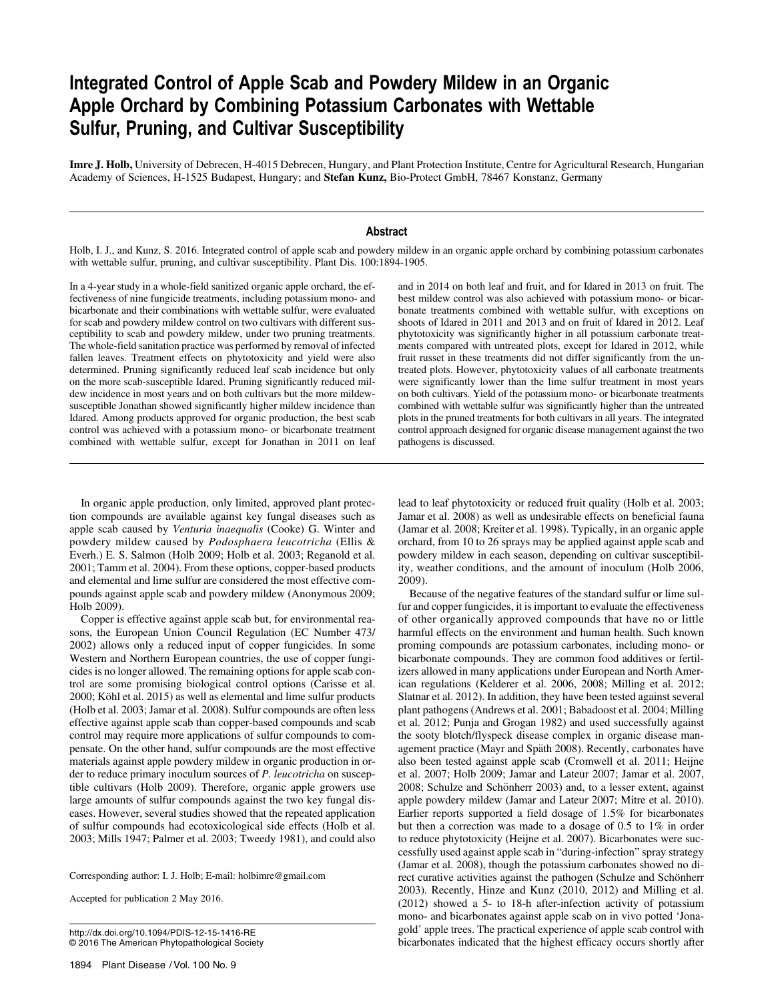# Integrated Control of Apple Scab and Powdery Mildew in an Organic Apple Orchard by Combining Potassium Carbonates with Wettable Sulfur, Pruning, and Cultivar Susceptibility

Imre J. Holb, University of Debrecen, H-4015 Debrecen, Hungary, and Plant Protection Institute, Centre for Agricultural Research, Hungarian Academy of Sciences, H-1525 Budapest, Hungary; and Stefan Kunz, Bio-Protect GmbH, 78467 Konstanz, Germany

### Abstract

Holb, I. J., and Kunz, S. 2016. Integrated control of apple scab and powdery mildew in an organic apple orchard by combining potassium carbonates with wettable sulfur, pruning, and cultivar susceptibility. Plant Dis. 100:1894-1905.

In a 4-year study in a whole-field sanitized organic apple orchard, the effectiveness of nine fungicide treatments, including potassium mono- and bicarbonate and their combinations with wettable sulfur, were evaluated for scab and powdery mildew control on two cultivars with different susceptibility to scab and powdery mildew, under two pruning treatments. The whole-field sanitation practice was performed by removal of infected fallen leaves. Treatment effects on phytotoxicity and yield were also determined. Pruning significantly reduced leaf scab incidence but only on the more scab-susceptible Idared. Pruning significantly reduced mildew incidence in most years and on both cultivars but the more mildewsusceptible Jonathan showed significantly higher mildew incidence than Idared. Among products approved for organic production, the best scab control was achieved with a potassium mono- or bicarbonate treatment combined with wettable sulfur, except for Jonathan in 2011 on leaf and in 2014 on both leaf and fruit, and for Idared in 2013 on fruit. The best mildew control was also achieved with potassium mono- or bicarbonate treatments combined with wettable sulfur, with exceptions on shoots of Idared in 2011 and 2013 and on fruit of Idared in 2012. Leaf phytotoxicity was significantly higher in all potassium carbonate treatments compared with untreated plots, except for Idared in 2012, while fruit russet in these treatments did not differ significantly from the untreated plots. However, phytotoxicity values of all carbonate treatments were significantly lower than the lime sulfur treatment in most years on both cultivars. Yield of the potassium mono- or bicarbonate treatments combined with wettable sulfur was significantly higher than the untreated plots in the pruned treatments for both cultivars in all years. The integrated control approach designed for organic disease management against the two pathogens is discussed.

In organic apple production, only limited, approved plant protection compounds are available against key fungal diseases such as apple scab caused by Venturia inaequalis (Cooke) G. Winter and powdery mildew caused by Podosphaera leucotricha (Ellis & Everh.) E. S. Salmon (Holb 2009; Holb et al. 2003; Reganold et al. 2001; Tamm et al. 2004). From these options, copper-based products and elemental and lime sulfur are considered the most effective compounds against apple scab and powdery mildew (Anonymous 2009; Holb 2009).

Copper is effective against apple scab but, for environmental reasons, the European Union Council Regulation (EC Number 473/ 2002) allows only a reduced input of copper fungicides. In some Western and Northern European countries, the use of copper fungicides is no longer allowed. The remaining options for apple scab control are some promising biological control options (Carisse et al. 2000; Köhl et al. 2015) as well as elemental and lime sulfur products (Holb et al. 2003; Jamar et al. 2008). Sulfur compounds are often less effective against apple scab than copper-based compounds and scab control may require more applications of sulfur compounds to compensate. On the other hand, sulfur compounds are the most effective materials against apple powdery mildew in organic production in order to reduce primary inoculum sources of P. leucotricha on susceptible cultivars (Holb 2009). Therefore, organic apple growers use large amounts of sulfur compounds against the two key fungal diseases. However, several studies showed that the repeated application of sulfur compounds had ecotoxicological side effects (Holb et al. 2003; Mills 1947; Palmer et al. 2003; Tweedy 1981), and could also

Corresponding author: I. J. Holb; E-mail: holbimre@gmail.com

Accepted for publication 2 May 2016.

http://dx.doi.org/10.1094/PDIS-12-15-1416-RE © 2016 The American Phytopathological Society lead to leaf phytotoxicity or reduced fruit quality (Holb et al. 2003; Jamar et al. 2008) as well as undesirable effects on beneficial fauna (Jamar et al. 2008; Kreiter et al. 1998). Typically, in an organic apple orchard, from 10 to 26 sprays may be applied against apple scab and powdery mildew in each season, depending on cultivar susceptibility, weather conditions, and the amount of inoculum (Holb 2006, 2009).

Because of the negative features of the standard sulfur or lime sulfur and copper fungicides, it is important to evaluate the effectiveness of other organically approved compounds that have no or little harmful effects on the environment and human health. Such known proming compounds are potassium carbonates, including mono- or bicarbonate compounds. They are common food additives or fertilizers allowed in many applications under European and North American regulations (Kelderer et al. 2006, 2008; Milling et al. 2012; Slatnar et al. 2012). In addition, they have been tested against several plant pathogens (Andrews et al. 2001; Babadoost et al. 2004; Milling et al. 2012; Punja and Grogan 1982) and used successfully against the sooty blotch/flyspeck disease complex in organic disease management practice (Mayr and Späth 2008). Recently, carbonates have also been tested against apple scab (Cromwell et al. 2011; Heijne et al. 2007; Holb 2009; Jamar and Lateur 2007; Jamar et al. 2007, 2008; Schulze and Schönherr 2003) and, to a lesser extent, against apple powdery mildew (Jamar and Lateur 2007; Mitre et al. 2010). Earlier reports supported a field dosage of 1.5% for bicarbonates but then a correction was made to a dosage of 0.5 to 1% in order to reduce phytotoxicity (Heijne et al. 2007). Bicarbonates were successfully used against apple scab in "during-infection" spray strategy (Jamar et al. 2008), though the potassium carbonates showed no direct curative activities against the pathogen (Schulze and Schönherr 2003). Recently, Hinze and Kunz (2010, 2012) and Milling et al. (2012) showed a 5- to 18-h after-infection activity of potassium mono- and bicarbonates against apple scab on in vivo potted 'Jonagold' apple trees. The practical experience of apple scab control with bicarbonates indicated that the highest efficacy occurs shortly after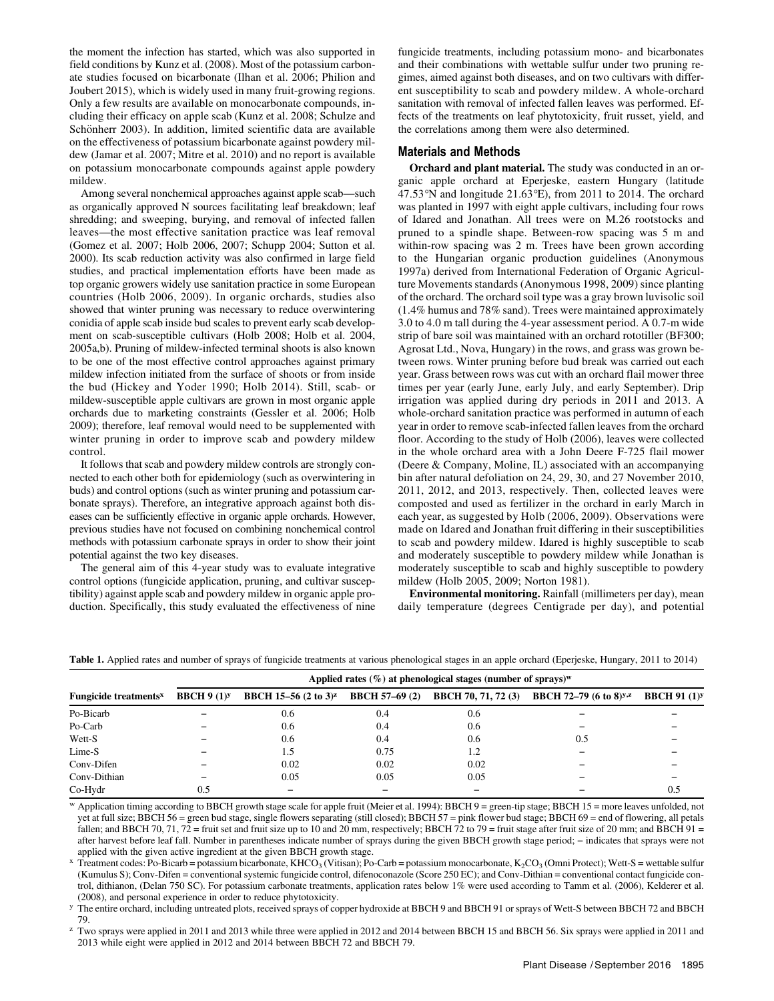the moment the infection has started, which was also supported in field conditions by Kunz et al. (2008). Most of the potassium carbonate studies focused on bicarbonate (Ilhan et al. 2006; Philion and Joubert 2015), which is widely used in many fruit-growing regions. Only a few results are available on monocarbonate compounds, including their efficacy on apple scab (Kunz et al. 2008; Schulze and Schönherr 2003). In addition, limited scientific data are available on the effectiveness of potassium bicarbonate against powdery mildew (Jamar et al. 2007; Mitre et al. 2010) and no report is available on potassium monocarbonate compounds against apple powdery mildew.

Among several nonchemical approaches against apple scab—such as organically approved N sources facilitating leaf breakdown; leaf shredding; and sweeping, burying, and removal of infected fallen leaves—the most effective sanitation practice was leaf removal (Gomez et al. 2007; Holb 2006, 2007; Schupp 2004; Sutton et al. 2000). Its scab reduction activity was also confirmed in large field studies, and practical implementation efforts have been made as top organic growers widely use sanitation practice in some European countries (Holb 2006, 2009). In organic orchards, studies also showed that winter pruning was necessary to reduce overwintering conidia of apple scab inside bud scales to prevent early scab development on scab-susceptible cultivars (Holb 2008; Holb et al. 2004, 2005a,b). Pruning of mildew-infected terminal shoots is also known to be one of the most effective control approaches against primary mildew infection initiated from the surface of shoots or from inside the bud (Hickey and Yoder 1990; Holb 2014). Still, scab- or mildew-susceptible apple cultivars are grown in most organic apple orchards due to marketing constraints (Gessler et al. 2006; Holb 2009); therefore, leaf removal would need to be supplemented with winter pruning in order to improve scab and powdery mildew control.

It follows that scab and powdery mildew controls are strongly connected to each other both for epidemiology (such as overwintering in buds) and control options (such as winter pruning and potassium carbonate sprays). Therefore, an integrative approach against both diseases can be sufficiently effective in organic apple orchards. However, previous studies have not focused on combining nonchemical control methods with potassium carbonate sprays in order to show their joint potential against the two key diseases.

The general aim of this 4-year study was to evaluate integrative control options (fungicide application, pruning, and cultivar susceptibility) against apple scab and powdery mildew in organic apple production. Specifically, this study evaluated the effectiveness of nine fungicide treatments, including potassium mono- and bicarbonates and their combinations with wettable sulfur under two pruning regimes, aimed against both diseases, and on two cultivars with different susceptibility to scab and powdery mildew. A whole-orchard sanitation with removal of infected fallen leaves was performed. Effects of the treatments on leaf phytotoxicity, fruit russet, yield, and the correlations among them were also determined.

## Materials and Methods

Orchard and plant material. The study was conducted in an organic apple orchard at Eperjeske, eastern Hungary (latitude 47.53°N and longitude 21.63°E), from 2011 to 2014. The orchard was planted in 1997 with eight apple cultivars, including four rows of Idared and Jonathan. All trees were on M.26 rootstocks and pruned to a spindle shape. Between-row spacing was 5 m and within-row spacing was 2 m. Trees have been grown according to the Hungarian organic production guidelines (Anonymous 1997a) derived from International Federation of Organic Agriculture Movements standards (Anonymous 1998, 2009) since planting of the orchard. The orchard soil type was a gray brown luvisolic soil (1.4% humus and 78% sand). Trees were maintained approximately 3.0 to 4.0 m tall during the 4-year assessment period. A 0.7-m wide strip of bare soil was maintained with an orchard rototiller (BF300; Agrosat Ltd., Nova, Hungary) in the rows, and grass was grown between rows. Winter pruning before bud break was carried out each year. Grass between rows was cut with an orchard flail mower three times per year (early June, early July, and early September). Drip irrigation was applied during dry periods in 2011 and 2013. A whole-orchard sanitation practice was performed in autumn of each year in order to remove scab-infected fallen leaves from the orchard floor. According to the study of Holb (2006), leaves were collected in the whole orchard area with a John Deere F-725 flail mower (Deere & Company, Moline, IL) associated with an accompanying bin after natural defoliation on 24, 29, 30, and 27 November 2010, 2011, 2012, and 2013, respectively. Then, collected leaves were composted and used as fertilizer in the orchard in early March in each year, as suggested by Holb (2006, 2009). Observations were made on Idared and Jonathan fruit differing in their susceptibilities to scab and powdery mildew. Idared is highly susceptible to scab and moderately susceptible to powdery mildew while Jonathan is moderately susceptible to scab and highly susceptible to powdery mildew (Holb 2005, 2009; Norton 1981).

Environmental monitoring. Rainfall (millimeters per day), mean daily temperature (degrees Centigrade per day), and potential

Table 1. Applied rates and number of sprays of fungicide treatments at various phenological stages in an apple orchard (Eperjeske, Hungary, 2011 to 2014)

| Fungicide treatments <sup>x</sup> | Applied rates $(\%)$ at phenological stages (number of sprays) <sup>w</sup> |                                 |                       |                            |                                           |                                |  |  |  |  |  |
|-----------------------------------|-----------------------------------------------------------------------------|---------------------------------|-----------------------|----------------------------|-------------------------------------------|--------------------------------|--|--|--|--|--|
|                                   | <b>BBCH 9</b> (1) <sup>y</sup>                                              | <b>BBCH 15-56</b> (2 to $3^2$ ) | <b>BBCH 57–69 (2)</b> | <b>BBCH 70, 71, 72 (3)</b> | <b>BBCH 72–79</b> (6 to 8) <sup>y,z</sup> | <b>BBCH 91 (1)<sup>y</sup></b> |  |  |  |  |  |
| Po-Bicarb                         |                                                                             | 0.6                             | 0.4                   | 0.6                        | $\overline{\phantom{0}}$                  |                                |  |  |  |  |  |
| Po-Carb                           |                                                                             | 0.6                             | 0.4                   | 0.6                        |                                           |                                |  |  |  |  |  |
| Wett-S                            |                                                                             | 0.6                             | 0.4                   | 0.6                        | 0.5                                       |                                |  |  |  |  |  |
| Lime-S                            |                                                                             | 1.5                             | 0.75                  | 1.2                        |                                           |                                |  |  |  |  |  |
| Conv-Difen                        |                                                                             | 0.02                            | 0.02                  | 0.02                       |                                           |                                |  |  |  |  |  |
| Conv-Dithian                      |                                                                             | 0.05                            | 0.05                  | 0.05                       |                                           |                                |  |  |  |  |  |
| Co-Hydr                           | 0.5                                                                         |                                 |                       |                            |                                           | 0.5                            |  |  |  |  |  |

Application timing according to BBCH growth stage scale for apple fruit (Meier et al. 1994): BBCH 9 = green-tip stage; BBCH 15 = more leaves unfolded, not yet at full size; BBCH 56 = green bud stage, single flowers separa yet at full size; BBCH 56 = green bud stage, single flowers separating (still closed); BBCH 57 = pink flower bud stage; BBCH 69 = end of flowering, all petals fallen; and BBCH 70, 71, 72 = fruit set and fruit size up to 10 and 20 mm, respectively; BBCH 72 to 79 = fruit stage after fruit size of 20 mm; and BBCH 91 = after harvest before leaf fall. Number in parentheses indicate

applied with the given active ingredient at the given BBCH growth stage.<br>
x Treatment codes: Po-Bicarb = potassium bicarbonate, KHCO<sub>3</sub> (Vitisan); Po-Carb = potassium monocarbonate, K<sub>2</sub>CO<sub>3</sub> (Omni Protect); Wett-S = wett (Kumulus S); Conv-Difen = conventional systemic fungicide control, difenoconazole (Score 250 EC); and Conv-Dithian = conventional contact fungicide control, dithianon, (Delan 750 SC). For potassium carbonate treatments, application rates below 1% were used according to Tamm et al. (2006), Kelderer et al.

(2008), and personal experience in order to reduce phytotoxicity.<br><sup>y</sup> The entire orchard, including untreated plots, received sprays of copper hydroxide at BBCH 9 and BBCH 91 or sprays of Wett-S between BBCH 72 and BBCH

<sup>z</sup> Two sprays were applied in 2011 and 2013 while three were applied in 2012 and 2014 between BBCH 15 and BBCH 56. Six sprays were applied in 2011 and 2013 while eight were applied in 2012 and 2014 between BBCH 72 and BBCH 79.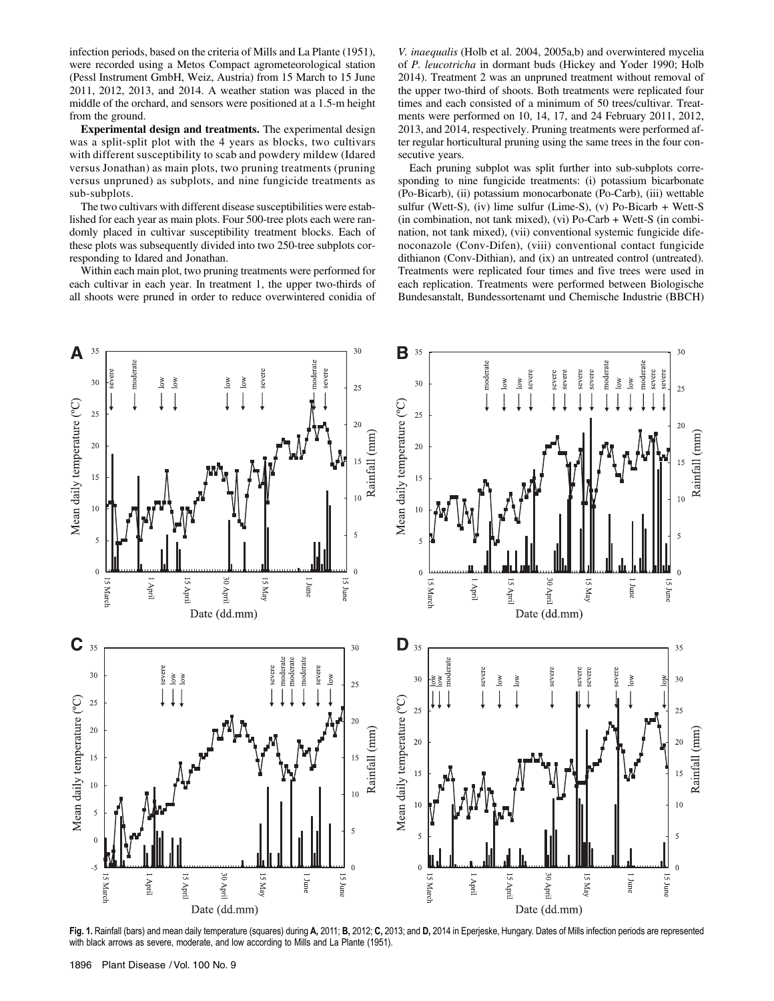infection periods, based on the criteria of Mills and La Plante (1951), were recorded using a Metos Compact agrometeorological station (Pessl Instrument GmbH, Weiz, Austria) from 15 March to 15 June 2011, 2012, 2013, and 2014. A weather station was placed in the middle of the orchard, and sensors were positioned at a 1.5-m height from the ground.

Experimental design and treatments. The experimental design was a split-split plot with the 4 years as blocks, two cultivars with different susceptibility to scab and powdery mildew (Idared versus Jonathan) as main plots, two pruning treatments (pruning versus unpruned) as subplots, and nine fungicide treatments as sub-subplots.

The two cultivars with different disease susceptibilities were established for each year as main plots. Four 500-tree plots each were randomly placed in cultivar susceptibility treatment blocks. Each of these plots was subsequently divided into two 250-tree subplots corresponding to Idared and Jonathan.

Within each main plot, two pruning treatments were performed for each cultivar in each year. In treatment 1, the upper two-thirds of all shoots were pruned in order to reduce overwintered conidia of V. inaequalis (Holb et al. 2004, 2005a,b) and overwintered mycelia of P. leucotricha in dormant buds (Hickey and Yoder 1990; Holb 2014). Treatment 2 was an unpruned treatment without removal of the upper two-third of shoots. Both treatments were replicated four times and each consisted of a minimum of 50 trees/cultivar. Treatments were performed on 10, 14, 17, and 24 February 2011, 2012, 2013, and 2014, respectively. Pruning treatments were performed after regular horticultural pruning using the same trees in the four consecutive years.

Each pruning subplot was split further into sub-subplots corresponding to nine fungicide treatments: (i) potassium bicarbonate (Po-Bicarb), (ii) potassium monocarbonate (Po-Carb), (iii) wettable sulfur (Wett-S), (iv) lime sulfur (Lime-S), (v) Po-Bicarb + Wett-S (in combination, not tank mixed), (vi) Po-Carb + Wett-S (in combination, not tank mixed), (vii) conventional systemic fungicide difenoconazole (Conv-Difen), (viii) conventional contact fungicide dithianon (Conv-Dithian), and (ix) an untreated control (untreated). Treatments were replicated four times and five trees were used in each replication. Treatments were performed between Biologische Bundesanstalt, Bundessortenamt und Chemische Industrie (BBCH)



Fig. 1. Rainfall (bars) and mean daily temperature (squares) during A, 2011; B, 2012; C, 2013; and D, 2014 in Eperjeske, Hungary. Dates of Mills infection periods are represented with black arrows as severe, moderate, and low according to Mills and La Plante (1951).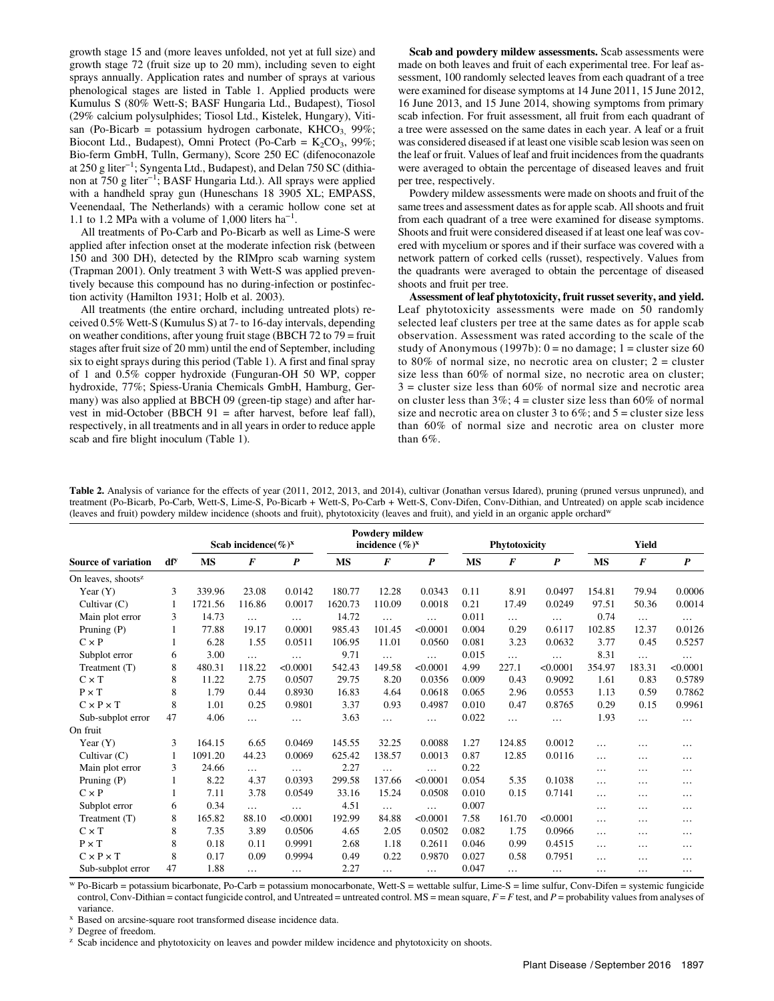growth stage 15 and (more leaves unfolded, not yet at full size) and growth stage 72 (fruit size up to 20 mm), including seven to eight sprays annually. Application rates and number of sprays at various phenological stages are listed in Table 1. Applied products were Kumulus S (80% Wett-S; BASF Hungaria Ltd., Budapest), Tiosol (29% calcium polysulphides; Tiosol Ltd., Kistelek, Hungary), Vitisan (Po-Bicarb = potassium hydrogen carbonate,  $KHCO<sub>3</sub>$ , 99%; Biocont Ltd., Budapest), Omni Protect (Po-Carb =  $K_2CO_3$ , 99%; Bio-ferm GmbH, Tulln, Germany), Score 250 EC (difenoconazole san (10-Dicaro – potassium hydrogen carbonate, Kric $O_3$ , 99%;<br>Biocont Ltd., Budapest), Omni Protect (Po-Carb = K<sub>2</sub>CO<sub>3</sub>, 99%;<br>Bio-ferm GmbH, Tulln, Germany), Score 250 EC (difenoconazole<br>at 250 g liter<sup>-1</sup>; Syngenta Ltd Diocom Eta., Budapest), Onlin Trotect (10-Calo – K<sub>2</sub>CO<sub>3</sub>, 99%), Bio-ferm GmbH, Tulln, Germany), Score 250 EC (difenoconazole at 250 g liter<sup>-1</sup>; Syngenta Ltd., Budapest), and Delan 750 SC (dithianon at 750 g liter<sup>-1</sup>; non at 750 g mer 3, BASP Tungana Eta.). An sprays were applied with a handheld spray gun (Huneschans 18 3905 XL; EMPASS, Veenendaal, The Netherlands) with a ceramic hollow cone set at 1.1 to 1.2 MPa with a volume of 1,000 Veenendaal, The Netherlands) with a ceramic hollow cone set at 1.1 to 1.2 MPa with a volume of 1,000 liters  $ha^{-1}$ .

All treatments of Po-Carb and Po-Bicarb as well as Lime-S were applied after infection onset at the moderate infection risk (between 150 and 300 DH), detected by the RIMpro scab warning system (Trapman 2001). Only treatment 3 with Wett-S was applied preventively because this compound has no during-infection or postinfection activity (Hamilton 1931; Holb et al. 2003).

All treatments (the entire orchard, including untreated plots) received 0.5% Wett-S (Kumulus S) at 7- to 16-day intervals, depending on weather conditions, after young fruit stage (BBCH 72 to 79 = fruit stages after fruit size of 20 mm) until the end of September, including six to eight sprays during this period (Table 1). A first and final spray of 1 and 0.5% copper hydroxide (Funguran-OH 50 WP, copper hydroxide, 77%; Spiess-Urania Chemicals GmbH, Hamburg, Germany) was also applied at BBCH 09 (green-tip stage) and after harvest in mid-October (BBCH 91 = after harvest, before leaf fall), respectively, in all treatments and in all years in order to reduce apple scab and fire blight inoculum (Table 1).

Scab and powdery mildew assessments. Scab assessments were made on both leaves and fruit of each experimental tree. For leaf assessment, 100 randomly selected leaves from each quadrant of a tree were examined for disease symptoms at 14 June 2011, 15 June 2012, 16 June 2013, and 15 June 2014, showing symptoms from primary scab infection. For fruit assessment, all fruit from each quadrant of a tree were assessed on the same dates in each year. A leaf or a fruit was considered diseased if at least one visible scab lesion was seen on the leaf or fruit. Values of leaf and fruit incidences from the quadrants were averaged to obtain the percentage of diseased leaves and fruit per tree, respectively.

Powdery mildew assessments were made on shoots and fruit of the same trees and assessment dates as for apple scab. All shoots and fruit from each quadrant of a tree were examined for disease symptoms. Shoots and fruit were considered diseased if at least one leaf was covered with mycelium or spores and if their surface was covered with a network pattern of corked cells (russet), respectively. Values from the quadrants were averaged to obtain the percentage of diseased shoots and fruit per tree.

Assessment of leaf phytotoxicity, fruit russet severity, and yield. Leaf phytotoxicity assessments were made on 50 randomly selected leaf clusters per tree at the same dates as for apple scab observation. Assessment was rated according to the scale of the study of Anonymous (1997b):  $0 = no$  damage;  $1 =$  cluster size 60 to 80% of normal size, no necrotic area on cluster;  $2 =$  cluster size less than 60% of normal size, no necrotic area on cluster;  $3$  = cluster size less than 60% of normal size and necrotic area on cluster less than  $3\%$ ;  $4$  = cluster size less than 60% of normal size and necrotic area on cluster 3 to  $6\%$ ; and  $5 =$  cluster size less than 60% of normal size and necrotic area on cluster more than 6%.

Table 2. Analysis of variance for the effects of year (2011, 2012, 2013, and 2014), cultivar (Jonathan versus Idared), pruning (pruned versus unpruned), and treatment (Po-Bicarb, Po-Carb, Wett-S, Lime-S, Po-Bicarb + Wett-S, Po-Carb + Wett-S, Conv-Difen, Conv-Dithian, and Untreated) on apple scab incidence (leaves and fruit) powdery mildew incidence (shoots and fruit), phytotoxicity (leaves and fruit), and yield in an organic apple orchardw

|                                |    |           | Scab incidence $(\%)^x$ |                  |           | <b>Powdery mildew</b><br>incidence $(\%)^{x}$ |                  |           | Phytotoxicity |                  | <b>Yield</b> |                  |                  |
|--------------------------------|----|-----------|-------------------------|------------------|-----------|-----------------------------------------------|------------------|-----------|---------------|------------------|--------------|------------------|------------------|
| <b>Source of variation</b>     | df | <b>MS</b> | F                       | $\boldsymbol{P}$ | <b>MS</b> | $\boldsymbol{F}$                              | $\boldsymbol{P}$ | <b>MS</b> | F             | $\boldsymbol{P}$ | <b>MS</b>    | $\boldsymbol{F}$ | $\boldsymbol{P}$ |
| On leaves, shoots <sup>z</sup> |    |           |                         |                  |           |                                               |                  |           |               |                  |              |                  |                  |
| Year $(Y)$                     | 3  | 339.96    | 23.08                   | 0.0142           | 180.77    | 12.28                                         | 0.0343           | 0.11      | 8.91          | 0.0497           | 154.81       | 79.94            | 0.0006           |
| Cultivar (C)                   | 1  | 1721.56   | 116.86                  | 0.0017           | 1620.73   | 110.09                                        | 0.0018           | 0.21      | 17.49         | 0.0249           | 97.51        | 50.36            | 0.0014           |
| Main plot error                | 3  | 14.73     | $\ddotsc$               | $\cdots$         | 14.72     | $\cdots$                                      | $\ddotsc$        | 0.011     | $\cdots$      | $\ddotsc$        | 0.74         | $\ddotsc$        | $\cdots$         |
| Pruning (P)                    |    | 77.88     | 19.17                   | 0.0001           | 985.43    | 101.45                                        | < 0.0001         | 0.004     | 0.29          | 0.6117           | 102.85       | 12.37            | 0.0126           |
| $C \times P$                   |    | 6.28      | 1.55                    | 0.0511           | 106.95    | 11.01                                         | 0.0560           | 0.081     | 3.23          | 0.0632           | 3.77         | 0.45             | 0.5257           |
| Subplot error                  | 6  | 3.00      | $\ddotsc$               | $\cdots$         | 9.71      | $\cdots$                                      | $\cdots$         | 0.015     | .             | $\cdots$         | 8.31         | $\ddotsc$        | $\cdots$         |
| Treatment (T)                  | 8  | 480.31    | 118.22                  | < 0.0001         | 542.43    | 149.58                                        | < 0.0001         | 4.99      | 227.1         | < 0.0001         | 354.97       | 183.31           | < 0.0001         |
| $C \times T$                   | 8  | 11.22     | 2.75                    | 0.0507           | 29.75     | 8.20                                          | 0.0356           | 0.009     | 0.43          | 0.9092           | 1.61         | 0.83             | 0.5789           |
| $P \times T$                   | 8  | 1.79      | 0.44                    | 0.8930           | 16.83     | 4.64                                          | 0.0618           | 0.065     | 2.96          | 0.0553           | 1.13         | 0.59             | 0.7862           |
| $C \times P \times T$          | 8  | 1.01      | 0.25                    | 0.9801           | 3.37      | 0.93                                          | 0.4987           | 0.010     | 0.47          | 0.8765           | 0.29         | 0.15             | 0.9961           |
| Sub-subplot error              | 47 | 4.06      | $\cdots$                | $\cdots$         | 3.63      | $\cdots$                                      | $\cdots$         | 0.022     | $\ddotsc$     | $\cdots$         | 1.93         | $\cdots$         | $\cdots$         |
| On fruit                       |    |           |                         |                  |           |                                               |                  |           |               |                  |              |                  |                  |
| Year $(Y)$                     | 3  | 164.15    | 6.65                    | 0.0469           | 145.55    | 32.25                                         | 0.0088           | 1.27      | 124.85        | 0.0012           | $\cdots$     | $\cdots$         | .                |
| Cultivar (C)                   | 1  | 1091.20   | 44.23                   | 0.0069           | 625.42    | 138.57                                        | 0.0013           | 0.87      | 12.85         | 0.0116           | $\cdots$     | $\cdots$         | .                |
| Main plot error                | 3  | 24.66     | $\cdots$                | $\cdots$         | 2.27      | $\ddotsc$                                     | $\cdots$         | 0.22      |               |                  | $\cdots$     | $\cdots$         | .                |
| Pruning (P)                    | 1  | 8.22      | 4.37                    | 0.0393           | 299.58    | 137.66                                        | < 0.0001         | 0.054     | 5.35          | 0.1038           | $\cdots$     | $\cdots$         | .                |
| $C \times P$                   |    | 7.11      | 3.78                    | 0.0549           | 33.16     | 15.24                                         | 0.0508           | 0.010     | 0.15          | 0.7141           | $\cdots$     | $\cdots$         | .                |
| Subplot error                  | 6  | 0.34      | $\cdots$                | $\cdots$         | 4.51      | $\cdots$                                      | $\ddotsc$        | 0.007     |               |                  | $\cdots$     | $\cdots$         | $\cdots$         |
| Treatment (T)                  | 8  | 165.82    | 88.10                   | < 0.0001         | 192.99    | 84.88                                         | < 0.0001         | 7.58      | 161.70        | < 0.0001         | $\cdots$     | $\cdots$         | .                |
| $C \times T$                   | 8  | 7.35      | 3.89                    | 0.0506           | 4.65      | 2.05                                          | 0.0502           | 0.082     | 1.75          | 0.0966           | $\cdots$     | $\cdots$         | .                |
| $P \times T$                   | 8  | 0.18      | 0.11                    | 0.9991           | 2.68      | 1.18                                          | 0.2611           | 0.046     | 0.99          | 0.4515           | $\cdots$     | $\cdots$         | $\cdots$         |
| $C \times P \times T$          | 8  | 0.17      | 0.09                    | 0.9994           | 0.49      | 0.22                                          | 0.9870           | 0.027     | 0.58          | 0.7951           | $\cdots$     | $\cdots$         | $\cdots$         |
| Sub-subplot error              | 47 | 1.88      | $\cdots$                | $\cdots$         | 2.27      | $\cdots$                                      | $\cdots$         | 0.047     | $\cdots$      | $\cdots$         | $\cdots$     | $\cdots$         | $\cdots$         |

<sup>w</sup> Po-Bicarb = potassium bicarbonate, Po-Carb = potassium monocarbonate, Wett-S = wettable sulfur, Lime-S = lime sulfur, Conv-Difen = systemic fungicide control, Conv-Dithian = contact fungicide control, and Untreated = untreated control. MS = mean square,  $F = F$  test, and  $P =$  probability values from analyses of variance.

variance. x Based on arcsine-square root transformed disease incidence data.<br>
v Degree of freedom.<br>
z Scab incidence and phytotoxicity on leaves and powder mildew incidence and phytotoxicity on shoots.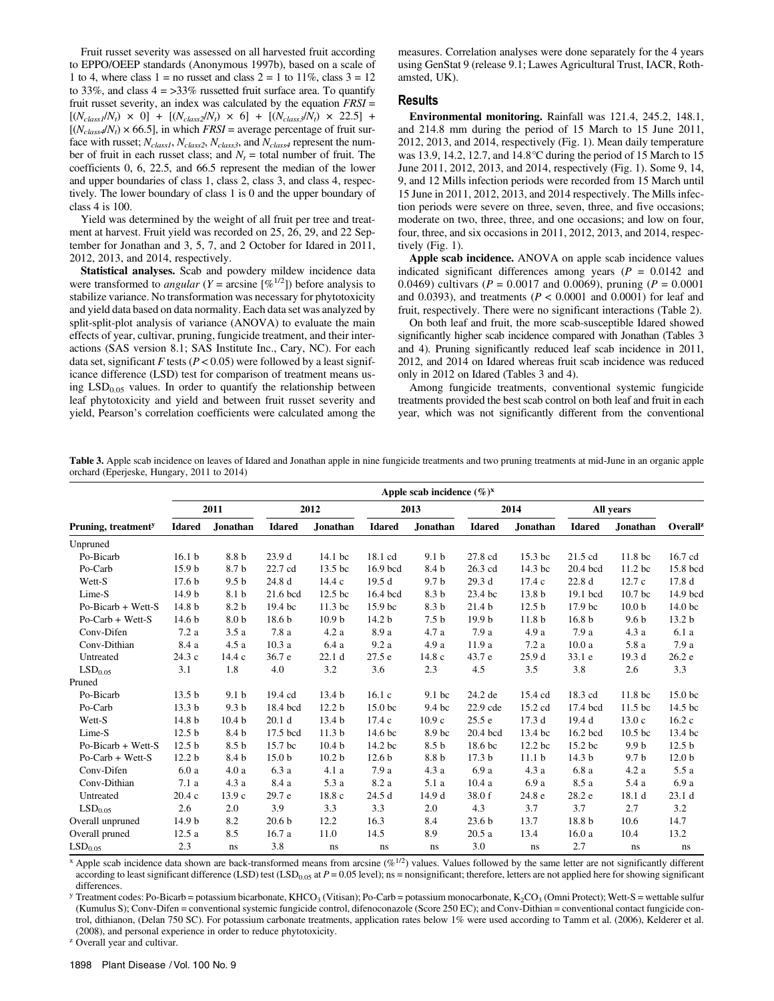Fruit russet severity was assessed on all harvested fruit according to EPPO/OEEP standards (Anonymous 1997b), based on a scale of 1 to 4, where class  $1 =$  no russet and class  $2 = 1$  to  $11\%$ , class  $3 = 12$ to 33%, and class  $4 = 33\%$  russetted fruit surface area. To quantify fruit russet severity, an index was calculated by the equation  $FRSI =$  $[(N_{class1}/N_t) \times 0] + [(N_{class2}/N_t) \times 6] + [(N_{class3}/N_t) \times 22.5] +$  $[(N_{class}/N_t) \times 66.5]$ , in which  $FRSI$  = average percentage of fruit surface with russet;  $N_{class1}$ ,  $N_{class2}$ ,  $N_{class3}$ , and  $N_{class4}$  represent the number of fruit in each russet class; and  $N_t =$  total number of fruit. The coefficients 0, 6, 22.5, and 66.5 represent the median of the lower and upper boundaries of class 1, class 2, class 3, and class 4, respectively. The lower boundary of class 1 is 0 and the upper boundary of class 4 is 100.

Yield was determined by the weight of all fruit per tree and treatment at harvest. Fruit yield was recorded on 25, 26, 29, and 22 September for Jonathan and 3, 5, 7, and 2 October for Idared in 2011, 2012, 2013, and 2014, respectively.

Statistical analyses. Scab and powdery mildew incidence data were transformed to *angular* ( $Y = \arcsin \left[\frac{\% 1}{2}\right]$ ) before analysis to stabilize variance. No transformation was necessary for phytotoxicity and yield data based on data normality. Each data set was analyzed by split-split-plot analysis of variance (ANOVA) to evaluate the main effects of year, cultivar, pruning, fungicide treatment, and their interactions (SAS version 8.1; SAS Institute Inc., Cary, NC). For each data set, significant F tests ( $P < 0.05$ ) were followed by a least significance difference (LSD) test for comparison of treatment means using  $LSD<sub>0.05</sub>$  values. In order to quantify the relationship between leaf phytotoxicity and yield and between fruit russet severity and yield, Pearson's correlation coefficients were calculated among the measures. Correlation analyses were done separately for the 4 years using GenStat 9 (release 9.1; Lawes Agricultural Trust, IACR, Rothamsted, UK).

## Results

Environmental monitoring. Rainfall was 121.4, 245.2, 148.1, and 214.8 mm during the period of 15 March to 15 June 2011, 2012, 2013, and 2014, respectively (Fig. 1). Mean daily temperature was 13.9, 14.2, 12.7, and 14.8°C during the period of 15 March to 15 June 2011, 2012, 2013, and 2014, respectively (Fig. 1). Some 9, 14, 9, and 12 Mills infection periods were recorded from 15 March until 15 June in 2011, 2012, 2013, and 2014 respectively. The Mills infection periods were severe on three, seven, three, and five occasions; moderate on two, three, three, and one occasions; and low on four, four, three, and six occasions in 2011, 2012, 2013, and 2014, respectively (Fig. 1).

Apple scab incidence. ANOVA on apple scab incidence values indicated significant differences among years ( $P = 0.0142$  and 0.0469) cultivars ( $P = 0.0017$  and 0.0069), pruning ( $P = 0.0001$ and 0.0393), and treatments ( $P < 0.0001$  and 0.0001) for leaf and fruit, respectively. There were no significant interactions (Table 2).

On both leaf and fruit, the more scab-susceptible Idared showed significantly higher scab incidence compared with Jonathan (Tables 3 and 4). Pruning significantly reduced leaf scab incidence in 2011, 2012, and 2014 on Idared whereas fruit scab incidence was reduced only in 2012 on Idared (Tables 3 and 4).

Among fungicide treatments, conventional systemic fungicide treatments provided the best scab control on both leaf and fruit in each year, which was not significantly different from the conventional

Table 3. Apple scab incidence on leaves of Idared and Jonathan apple in nine fungicide treatments and two pruning treatments at mid-June in an organic apple orchard (Eperjeske, Hungary, 2011 to 2014)

|                      | Apple scab incidence $(\%)^{x}$ |                   |                   |                   |                    |                   |                   |                   |                   |                    |                    |
|----------------------|---------------------------------|-------------------|-------------------|-------------------|--------------------|-------------------|-------------------|-------------------|-------------------|--------------------|--------------------|
|                      |                                 | 2011              |                   | 2012              |                    | 2013              |                   | 2014              |                   | All vears          |                    |
| Pruning, treatmenty  | <b>Idared</b>                   | Jonathan          | <b>Idared</b>     | <b>Jonathan</b>   | <b>Idared</b>      | Jonathan          | <b>Idared</b>     | Jonathan          | <b>Idared</b>     | Jonathan           | Overallz           |
| Unpruned             |                                 |                   |                   |                   |                    |                   |                   |                   |                   |                    |                    |
| Po-Bicarb            | 16.1 <sub>b</sub>               | 8.8 b             | 23.9 d            | 14.1 bc           | 18.1 cd            | 9.1 <sub>b</sub>  | 27.8 cd           | 15.3 bc           | $21.5$ cd         | 11.8 bc            | 16.7 cd            |
| Po-Carb              | 15.9 <sub>b</sub>               | 8.7 b             | 22.7 cd           | 13.5 bc           | 16.9 bcd           | 8.4 b             | 26.3 cd           | 14.3 bc           | 20.4 bcd          | 11.2 <sub>bc</sub> | 15.8 bcd           |
| Wett-S               | 17.6 <sub>b</sub>               | 9.5 <sub>b</sub>  | 24.8 d            | 14.4 c            | 19.5d              | 9.7 <sub>b</sub>  | 29.3 d            | 17.4 c            | 22.8 d            | 12.7c              | 17.8 <sub>d</sub>  |
| Lime-S               | 14.9 <sub>b</sub>               | 8.1 b             | $21.6$ bcd        | 12.5 bc           | 16.4 bcd           | 8.3 b             | 23.4 bc           | 13.8 b            | 19.1 bcd          | 10.7 <sub>bc</sub> | 14.9 bcd           |
| $Po-Bicarb + Wett-S$ | 14.8 b                          | 8.2 b             | 19.4 bc           | 11.3 bc           | 15.9 <sub>bc</sub> | 8.3 <sub>b</sub>  | 21.4 <sub>b</sub> | 12.5 <sub>b</sub> | 17.9 bc           | 10.0 <sub>b</sub>  | 14.0 <sub>bc</sub> |
| $Po-Carb + Wett-S$   | 14.6 <sub>b</sub>               | 8.0 <sub>b</sub>  | 18.6 <sub>b</sub> | 10.9 <sub>b</sub> | 14.2 b             | 7.5 <sub>b</sub>  | 19.9 <sub>b</sub> | 11.8 <sub>b</sub> | 16.8 <sub>b</sub> | 9.6 <sub>b</sub>   | 13.2 b             |
| Conv-Difen           | 7.2a                            | 3.5a              | 7.8 a             | 4.2 a             | 8.9 a              | 4.7 a             | 7.9 a             | 4.9 a             | 7.9 a             | 4.3a               | 6.1a               |
| Conv-Dithian         | 8.4 a                           | 4.5 a             | 10.3a             | 6.4 a             | 9.2 a              | 4.9 a             | 11.9 a            | 7.2a              | 10.0a             | 5.8 a              | 7.9 a              |
| Untreated            | 24.3 c                          | 14.4 c            | 36.7 e            | 22.1 <sub>d</sub> | 27.5 e             | 14.8 c            | 43.7 e            | 25.9d             | 33.1 e            | 19.3d              | 26.2 e             |
| LSD <sub>0.05</sub>  | 3.1                             | 1.8               | 4.0               | 3.2               | 3.6                | 2.3               | 4.5               | 3.5               | 3.8               | 2.6                | 3.3                |
| Pruned               |                                 |                   |                   |                   |                    |                   |                   |                   |                   |                    |                    |
| Po-Bicarb            | 13.5 <sub>b</sub>               | 9.1 <sub>b</sub>  | 19.4 cd           | 13.4 b            | 16.1c              | 9.1 <sub>bc</sub> | 24.2 de           | 15.4 cd           | 18.3 cd           | 11.8 bc            | 15.0 bc            |
| Po-Carb              | 13.3 <sub>b</sub>               | 9.3 <sub>b</sub>  | 18.4 bcd          | 12.2 <sub>b</sub> | 15.0 bc            | 9.4 bc            | 22.9 cde          | 15.2 cd           | 17.4 bcd          | 11.5 <sub>bc</sub> | 14.5 bc            |
| Wett-S               | 14.8 b                          | 10.4 <sub>b</sub> | 20.1 <sub>d</sub> | 13.4 b            | 17.4 c             | 10.9c             | 25.5 e            | 17.3d             | 19.4 d            | 13.0c              | 16.2c              |
| Lime-S               | 12.5 <sub>b</sub>               | 8.4 b             | 17.5 bcd          | 11.3 <sub>b</sub> | 14.6 bc            | 8.9 bc            | 20.4 bcd          | 13.4 bc           | 16.2 bcd          | 10.5 <sub>b</sub>  | 13.4 bc            |
| $Po-Bicarb + Wett-S$ | 12.5 <sub>b</sub>               | 8.5 b             | 15.7 bc           | 10.4 <sub>b</sub> | 14.2 bc            | 8.5 b             | 18.6 bc           | 12.2 bc           | 15.2 bc           | 9.9 <sub>b</sub>   | 12.5 <sub>b</sub>  |
| $Po-Carb + Wett-S$   | 12.2 <sub>b</sub>               | 8.4 b             | 15.0 <sub>b</sub> | 10.2 <sub>b</sub> | 12.6 <sub>b</sub>  | 8.8 b             | 17.3 <sub>b</sub> | 11.1 <sub>b</sub> | 14.3 b            | 9.7 <sub>b</sub>   | 12.0 <sub>b</sub>  |
| Conv-Difen           | 6.0a                            | 4.0a              | 6.3 a             | 4.1 a             | 7.9 a              | 4.3 a             | 6.9 a             | 4.3 a             | 6.8 a             | 4.2 a              | 5.5 a              |
| Conv-Dithian         | 7.1a                            | 4.3 a             | 8.4 a             | 5.3 a             | 8.2 a              | 5.1 a             | 10.4a             | 6.9a              | 8.5 a             | 5.4 a              | 6.9 a              |
| Untreated            | 20.4c                           | 13.9c             | 29.7 e            | 18.8c             | 24.5 d             | 14.9 d            | 38.0 f            | 24.8 e            | 28.2 e            | 18.1 d             | 23.1 <sub>d</sub>  |
| LSD <sub>0.05</sub>  | 2.6                             | 2.0               | 3.9               | 3.3               | 3.3                | 2.0               | 4.3               | 3.7               | 3.7               | 2.7                | 3.2                |
| Overall unpruned     | 14.9 <sub>b</sub>               | 8.2               | 20.6 <sub>b</sub> | 12.2              | 16.3               | 8.4               | 23.6 <sub>b</sub> | 13.7              | 18.8 <sub>b</sub> | 10.6               | 14.7               |
| Overall pruned       | 12.5a                           | 8.5               | 16.7 a            | 11.0              | 14.5               | 8.9               | 20.5a             | 13.4              | 16.0a             | 10.4               | 13.2               |
| LSD <sub>0.05</sub>  | 2.3                             | ns                | 3.8               | ns                | ns                 | ns                | 3.0               | ns                | 2.7               | ns                 | ns                 |

x Apple scab incidence data shown are back-transformed means from arcsine  $(\frac{\% 1}{2})$  values. Values followed by the same letter are not significantly different according to least significant difference (LSD) test (LSD<sub>0.05</sub> at  $P = 0.05$  level); ns = nonsignificant; therefore, letters are not applied here for showing significant differences.

y Treatment codes: Po-Bicarb = potassium bicarbonate, KHCO<sub>3</sub> (Vitisan); Po-Carb = potassium monocarbonate, K<sub>2</sub>CO<sub>3</sub> (Omni Protect); Wett-S = wettable sulfur (Kumulus S); Conv-Difen = conventional systemic fungicide control, difenoconazole (Score 250 EC); and Conv-Dithian = conventional contact fungicide control, dithianon, (Delan 750 SC). For potassium carbonate treatments, application rates below 1% were used according to Tamm et al. (2006), Kelderer et al. (2008), and personal experience in order to reduce phytotoxicity.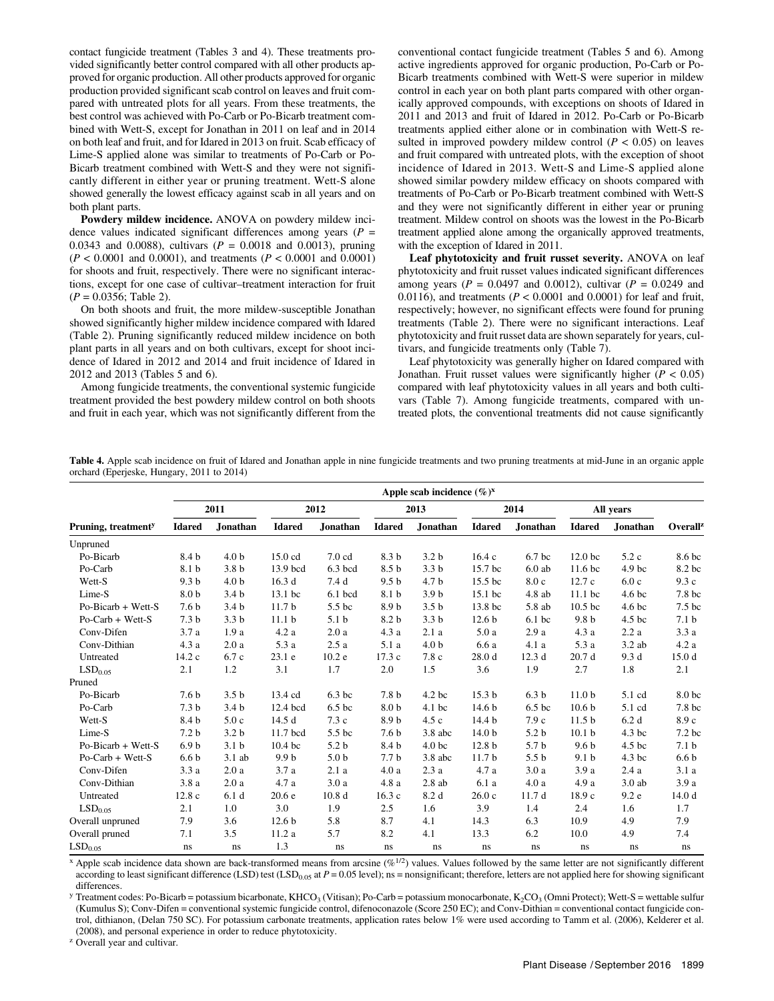contact fungicide treatment (Tables 3 and 4). These treatments provided significantly better control compared with all other products approved for organic production. All other products approved for organic production provided significant scab control on leaves and fruit compared with untreated plots for all years. From these treatments, the best control was achieved with Po-Carb or Po-Bicarb treatment combined with Wett-S, except for Jonathan in 2011 on leaf and in 2014 on both leaf and fruit, and for Idared in 2013 on fruit. Scab efficacy of Lime-S applied alone was similar to treatments of Po-Carb or Po-Bicarb treatment combined with Wett-S and they were not significantly different in either year or pruning treatment. Wett-S alone showed generally the lowest efficacy against scab in all years and on both plant parts.

Powdery mildew incidence. ANOVA on powdery mildew incidence values indicated significant differences among years ( $P =$ 0.0343 and 0.0088), cultivars ( $P = 0.0018$  and 0.0013), pruning  $(P < 0.0001$  and 0.0001), and treatments  $(P < 0.0001$  and 0.0001) for shoots and fruit, respectively. There were no significant interactions, except for one case of cultivar–treatment interaction for fruit  $(P = 0.0356;$  Table 2).

On both shoots and fruit, the more mildew-susceptible Jonathan showed significantly higher mildew incidence compared with Idared (Table 2). Pruning significantly reduced mildew incidence on both plant parts in all years and on both cultivars, except for shoot incidence of Idared in 2012 and 2014 and fruit incidence of Idared in 2012 and 2013 (Tables 5 and 6).

Among fungicide treatments, the conventional systemic fungicide treatment provided the best powdery mildew control on both shoots and fruit in each year, which was not significantly different from the conventional contact fungicide treatment (Tables 5 and 6). Among active ingredients approved for organic production, Po-Carb or Po-Bicarb treatments combined with Wett-S were superior in mildew control in each year on both plant parts compared with other organically approved compounds, with exceptions on shoots of Idared in 2011 and 2013 and fruit of Idared in 2012. Po-Carb or Po-Bicarb treatments applied either alone or in combination with Wett-S resulted in improved powdery mildew control  $(P < 0.05)$  on leaves and fruit compared with untreated plots, with the exception of shoot incidence of Idared in 2013. Wett-S and Lime-S applied alone showed similar powdery mildew efficacy on shoots compared with treatments of Po-Carb or Po-Bicarb treatment combined with Wett-S and they were not significantly different in either year or pruning treatment. Mildew control on shoots was the lowest in the Po-Bicarb treatment applied alone among the organically approved treatments, with the exception of Idared in 2011.

Leaf phytotoxicity and fruit russet severity. ANOVA on leaf phytotoxicity and fruit russet values indicated significant differences among years ( $P = 0.0497$  and 0.0012), cultivar ( $P = 0.0249$  and 0.0116), and treatments ( $P < 0.0001$  and 0.0001) for leaf and fruit, respectively; however, no significant effects were found for pruning treatments (Table 2). There were no significant interactions. Leaf phytotoxicity and fruit russet data are shown separately for years, cultivars, and fungicide treatments only (Table 7).

Leaf phytotoxicity was generally higher on Idared compared with Jonathan. Fruit russet values were significantly higher ( $P < 0.05$ ) compared with leaf phytotoxicity values in all years and both cultivars (Table 7). Among fungicide treatments, compared with untreated plots, the conventional treatments did not cause significantly

Table 4. Apple scab incidence on fruit of Idared and Jonathan apple in nine fungicide treatments and two pruning treatments at mid-June in an organic apple orchard (Eperjeske, Hungary, 2011 to 2014)

|                       | Apple scab incidence $(\%)^{x}$ |                  |                    |                   |                  |                   |                   |                   |                    |                    |                   |
|-----------------------|---------------------------------|------------------|--------------------|-------------------|------------------|-------------------|-------------------|-------------------|--------------------|--------------------|-------------------|
|                       |                                 | 2011             |                    | 2012              |                  | 2013              |                   | 2014              |                    | All years          |                   |
| Pruning, treatmenty   | <b>Idared</b>                   | Jonathan         | <b>Idared</b>      | Jonathan          | <b>Idared</b>    | Jonathan          | <b>Idared</b>     | Jonathan          | <b>Idared</b>      | Jonathan           | Overallz          |
| Unpruned              |                                 |                  |                    |                   |                  |                   |                   |                   |                    |                    |                   |
| Po-Bicarb             | 8.4 b                           | 4.0 <sub>b</sub> | $15.0$ cd          | $7.0 \text{ cd}$  | 8.3 <sub>b</sub> | 3.2 <sub>b</sub>  | 16.4c             | 6.7 <sub>bc</sub> | 12.0 <sub>b</sub>  | 5.2c               | 8.6 bc            |
| Po-Carb               | 8.1 b                           | 3.8 <sub>b</sub> | 13.9 bcd           | $6.3$ bcd         | 8.5 <sub>b</sub> | 3.3 <sub>b</sub>  | 15.7 bc           | $6.0$ ab          | 11.6 <sub>b</sub>  | 4.9 bc             | 8.2 bc            |
| Wett-S                | 9.3 <sub>b</sub>                | 4.0 <sub>b</sub> | 16.3d              | 7.4 d             | 9.5 <sub>b</sub> | 4.7 b             | 15.5 bc           | 8.0c              | 12.7c              | 6.0c               | 9.3c              |
| Lime-S                | 8.0 <sub>b</sub>                | 3.4 <sub>b</sub> | 13.1 bc            | $6.1$ bcd         | 8.1 b            | 3.9 <sub>b</sub>  | 15.1 bc           | 4.8 ab            | $11.1$ bc          | 4.6 bc             | 7.8 bc            |
| $Po-Bicarb + Wett-S$  | 7.6 <sub>b</sub>                | 3.4 <sub>b</sub> | 11.7 <sub>b</sub>  | 5.5 <sub>bc</sub> | 8.9 b            | 3.5 <sub>b</sub>  | 13.8 bc           | 5.8 ab            | 10.5 <sub>bc</sub> | 4.6 <sub>b</sub> c | 7.5 bc            |
| $Po-Carb + Wet-S$     | 7.3 <sub>b</sub>                | 3.3 <sub>b</sub> | 11.1 <sub>b</sub>  | 5.1 <sub>b</sub>  | 8.2 b            | 3.3 <sub>b</sub>  | 12.6 <sub>b</sub> | 6.1 <sub>bc</sub> | 9.8 <sub>b</sub>   | 4.5 bc             | 7.1 <sub>b</sub>  |
| Conv-Difen            | 3.7 a                           | 1.9a             | 4.2 a              | 2.0a              | 4.3a             | 2.1a              | 5.0a              | 2.9a              | 4.3a               | 2.2a               | 3.3a              |
| Conv-Dithian          | 4.3 a                           | 2.0a             | 5.3 a              | 2.5a              | 5.1 a            | 4.0 <sub>b</sub>  | 6.6a              | 4.1 a             | 5.3 a              | 3.2 ab             | 4.2 a             |
| Untreated             | 14.2 c                          | 6.7 c            | 23.1 e             | 10.2 e            | 17.3c            | 7.8 c             | 28.0 <sub>d</sub> | 12.3 d            | 20.7d              | 9.3d               | 15.0 <sub>d</sub> |
| LSD <sub>0.05</sub>   | 2.1                             | 1.2              | 3.1                | 1.7               | 2.0              | 1.5               | 3.6               | 1.9               | 2.7                | 1.8                | 2.1               |
| Pruned                |                                 |                  |                    |                   |                  |                   |                   |                   |                    |                    |                   |
| Po-Bicarb             | 7.6 <sub>b</sub>                | 3.5 <sub>b</sub> | 13.4 cd            | $6.3$ bc          | 7.8 <sub>b</sub> | 4.2 <sub>bc</sub> | 15.3 <sub>b</sub> | 6.3 <sub>b</sub>  | 11.0 <sub>b</sub>  | 5.1 cd             | 8.0 bc            |
| Po-Carb               | 7.3 <sub>b</sub>                | 3.4 <sub>b</sub> | 12.4 bcd           | 6.5 <sub>bc</sub> | 8.0 <sub>b</sub> | $4.1$ bc          | 14.6 b            | 6.5 <sub>bc</sub> | 10.6 <sub>b</sub>  | 5.1 cd             | 7.8 bc            |
| Wett-S                | 8.4 b                           | 5.0c             | 14.5 d             | 7.3c              | 8.9b             | 4.5c              | 14.4 b            | 7.9c              | 11.5 <sub>b</sub>  | 6.2d               | 8.9c              |
| Lime-S                | 7.2 <sub>b</sub>                | 3.2 <sub>b</sub> | 11.7 bcd           | 5.5 bc            | 7.6 <sub>b</sub> | $3.8$ abc         | 14.0 <sub>b</sub> | 5.2 <sub>b</sub>  | 10.1 <sub>b</sub>  | 4.3 bc             | 7.2 <sub>bc</sub> |
| $Po-Bicarb + Wett-S$  | 6.9 <sub>b</sub>                | 3.1 <sub>b</sub> | 10.4 <sub>bc</sub> | 5.2 <sub>b</sub>  | 8.4 b            | 4.0 <sub>bc</sub> | 12.8 <sub>b</sub> | 5.7 <sub>b</sub>  | 9.6 <sub>b</sub>   | 4.5 bc             | 7.1 <sub>b</sub>  |
| $Po-Carb + Wett-S$    | 6.6 <sub>b</sub>                | 3.1 ab           | 9.9 <sub>b</sub>   | 5.0 <sub>b</sub>  | 7.7 <sub>b</sub> | $3.8$ abc         | 11.7 <sub>b</sub> | 5.5 <sub>b</sub>  | 9.1 <sub>b</sub>   | 4.3 bc             | 6.6 <sub>b</sub>  |
| Conv-Difen            | 3.3a                            | 2.0a             | 3.7 a              | 2.1a              | 4.0a             | 2.3a              | 4.7 a             | 3.0a              | 3.9 a              | 2.4a               | 3.1a              |
| Conv-Dithian          | 3.8a                            | 2.0a             | 4.7 a              | 3.0a              | 4.8 a            | 2.8ab             | 6.1a              | 4.0a              | 4.9 a              | $3.0$ ab           | 3.9 a             |
| Untreated             | 12.8c                           | 6.1 <sub>d</sub> | 20.6e              | 10.8 <sub>d</sub> | 16.3c            | 8.2 d             | 26.0c             | 11.7d             | 18.9 c             | 9.2e               | 14.0 d            |
| LSD <sub>0.05</sub>   | 2.1                             | 1.0              | 3.0                | 1.9               | 2.5              | 1.6               | 3.9               | 1.4               | 2.4                | 1.6                | 1.7               |
| Overall unpruned      | 7.9                             | 3.6              | 12.6 <sub>b</sub>  | 5.8               | 8.7              | 4.1               | 14.3              | 6.3               | 10.9               | 4.9                | 7.9               |
| Overall pruned        | 7.1                             | 3.5              | 11.2 a             | 5.7               | 8.2              | 4.1               | 13.3              | 6.2               | 10.0               | 4.9                | 7.4               |
| $\mathrm{LSD}_{0.05}$ | ns                              | ns               | 1.3                | ns                | ns               | ns                | ns                | ns                | ns                 | ns                 | ns                |

 $x$  Apple scab incidence data shown are back-transformed means from arcsine  $(\frac{6}{12})$  values. Values followed by the same letter are not significantly different according to least significant difference (LSD) test (LSD<sub>0.05</sub> at  $P = 0.05$  level); ns = nonsignificant; therefore, letters are not applied here for showing significant differences.

y Treatment codes: Po-Bicarb = potassium bicarbonate, KHCO<sub>3</sub> (Vitisan); Po-Carb = potassium monocarbonate, K<sub>2</sub>CO<sub>3</sub> (Omni Protect); Wett-S = wettable sulfur (Kumulus S); Conv-Difen = conventional systemic fungicide control, difenoconazole (Score 250 EC); and Conv-Dithian = conventional contact fungicide control, dithianon, (Delan 750 SC). For potassium carbonate treatments, application rates below 1% were used according to Tamm et al. (2006), Kelderer et al. (2008), and personal experience in order to reduce phytotoxicity.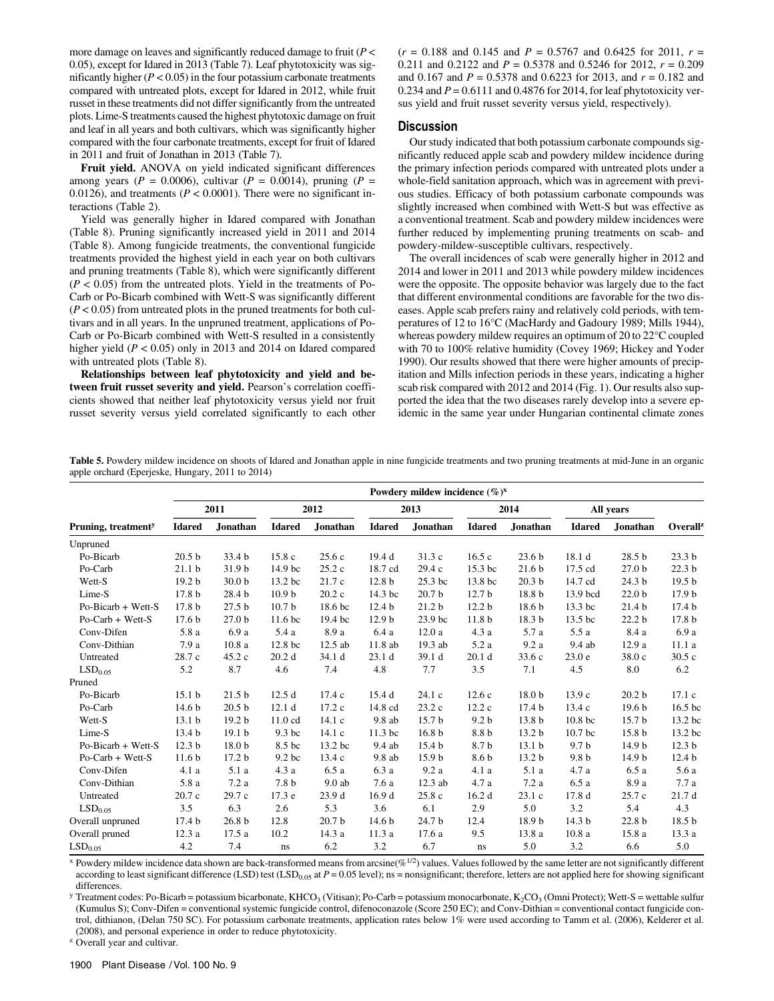more damage on leaves and significantly reduced damage to fruit  $(P <$ 0.05), except for Idared in 2013 (Table 7). Leaf phytotoxicity was significantly higher  $(P < 0.05)$  in the four potassium carbonate treatments compared with untreated plots, except for Idared in 2012, while fruit russet in these treatments did not differ significantly from the untreated plots. Lime-S treatments caused the highest phytotoxic damage on fruit and leaf in all years and both cultivars, which was significantly higher compared with the four carbonate treatments, except for fruit of Idared in 2011 and fruit of Jonathan in 2013 (Table 7).

Fruit yield. ANOVA on yield indicated significant differences among years ( $P = 0.0006$ ), cultivar ( $P = 0.0014$ ), pruning ( $P =$ 0.0126), and treatments ( $P < 0.0001$ ). There were no significant interactions (Table 2).

Yield was generally higher in Idared compared with Jonathan (Table 8). Pruning significantly increased yield in 2011 and 2014 (Table 8). Among fungicide treatments, the conventional fungicide treatments provided the highest yield in each year on both cultivars and pruning treatments (Table 8), which were significantly different  $(P < 0.05)$  from the untreated plots. Yield in the treatments of Po-Carb or Po-Bicarb combined with Wett-S was significantly different  $(P < 0.05)$  from untreated plots in the pruned treatments for both cultivars and in all years. In the unpruned treatment, applications of Po-Carb or Po-Bicarb combined with Wett-S resulted in a consistently higher yield  $(P < 0.05)$  only in 2013 and 2014 on Idared compared with untreated plots (Table 8).

Relationships between leaf phytotoxicity and yield and between fruit russet severity and yield. Pearson's correlation coefficients showed that neither leaf phytotoxicity versus yield nor fruit russet severity versus yield correlated significantly to each other  $(r = 0.188$  and 0.145 and  $P = 0.5767$  and 0.6425 for 2011,  $r =$ 0.211 and 0.2122 and  $P = 0.5378$  and 0.5246 for 2012,  $r = 0.209$ and 0.167 and  $P = 0.5378$  and 0.6223 for 2013, and  $r = 0.182$  and 0.234 and  $P = 0.6111$  and 0.4876 for 2014, for leaf phytotoxicity versus yield and fruit russet severity versus yield, respectively).

## **Discussion**

Our study indicated that both potassium carbonate compounds significantly reduced apple scab and powdery mildew incidence during the primary infection periods compared with untreated plots under a whole-field sanitation approach, which was in agreement with previous studies. Efficacy of both potassium carbonate compounds was slightly increased when combined with Wett-S but was effective as a conventional treatment. Scab and powdery mildew incidences were further reduced by implementing pruning treatments on scab- and powdery-mildew-susceptible cultivars, respectively.

The overall incidences of scab were generally higher in 2012 and 2014 and lower in 2011 and 2013 while powdery mildew incidences were the opposite. The opposite behavior was largely due to the fact that different environmental conditions are favorable for the two diseases. Apple scab prefers rainy and relatively cold periods, with temperatures of 12 to 16°C (MacHardy and Gadoury 1989; Mills 1944), whereas powdery mildew requires an optimum of 20 to 22°C coupled with 70 to 100% relative humidity (Covey 1969; Hickey and Yoder 1990). Our results showed that there were higher amounts of precipitation and Mills infection periods in these years, indicating a higher scab risk compared with 2012 and 2014 (Fig. 1). Our results also supported the idea that the two diseases rarely develop into a severe epidemic in the same year under Hungarian continental climate zones

Table 5. Powdery mildew incidence on shoots of Idared and Jonathan apple in nine fungicide treatments and two pruning treatments at mid-June in an organic apple orchard (Eperjeske, Hungary, 2011 to 2014)

|                       | Powdery mildew incidence $(\%)^x$ |                   |                    |                   |                   |                   |                   |                   |                    |                   |                            |  |
|-----------------------|-----------------------------------|-------------------|--------------------|-------------------|-------------------|-------------------|-------------------|-------------------|--------------------|-------------------|----------------------------|--|
|                       |                                   | 2011              |                    | 2012              |                   | 2013              |                   | 2014              |                    | All years         |                            |  |
| Pruning, treatmenty   | <b>Idared</b>                     | Jonathan          | <b>Idared</b>      | Jonathan          | <b>Idared</b>     | Jonathan          | <b>Idared</b>     | <b>Jonathan</b>   | <b>Idared</b>      | Jonathan          | <b>Overall<sup>2</sup></b> |  |
| Unpruned              |                                   |                   |                    |                   |                   |                   |                   |                   |                    |                   |                            |  |
| Po-Bicarb             | 20.5 <sub>b</sub>                 | 33.4 b            | 15.8c              | 25.6c             | 19.4d             | 31.3c             | 16.5c             | 23.6 <sub>b</sub> | 18.1 d             | 28.5 <sub>b</sub> | 23.3 <sub>b</sub>          |  |
| Po-Carb               | 21.1 <sub>b</sub>                 | 31.9 b            | 14.9 bc            | 25.2c             | 18.7 cd           | 29.4 c            | 15.3 bc           | 21.6 <sub>b</sub> | 17.5 cd            | 27.0 <sub>b</sub> | 22.3 <sub>b</sub>          |  |
| Wett-S                | 19.2 b                            | 30.0 <sub>b</sub> | 13.2 bc            | 21.7 c            | 12.8 <sub>b</sub> | 25.3 bc           | 13.8 bc           | 20.3 <sub>b</sub> | 14.7 cd            | 24.3 b            | 19.5 <sub>b</sub>          |  |
| Lime-S                | 17.8 <sub>b</sub>                 | 28.4 b            | 10.9 <sub>b</sub>  | 20.2c             | 14.3 bc           | 20.7 <sub>b</sub> | 12.7 <sub>b</sub> | 18.8 <sub>b</sub> | 13.9 bcd           | 22.0 <sub>b</sub> | 17.9 <sub>b</sub>          |  |
| $Po-Bicarb + Wett-S$  | 17.8 <sub>b</sub>                 | 27.5 <sub>b</sub> | 10.7 <sub>b</sub>  | 18.6 bc           | 12.4 <sub>b</sub> | 21.2 <sub>b</sub> | 12.2 <sub>b</sub> | 18.6 <sub>b</sub> | 13.3 bc            | 21.4 <sub>b</sub> | 17.4 <sub>b</sub>          |  |
| $Po-Carb + Wett-S$    | 17.6 <sub>b</sub>                 | 27.0 <sub>b</sub> | 11.6 <sub>bc</sub> | 19.4 bc           | 12.9 <sub>b</sub> | 23.9 bc           | 11.8 <sub>b</sub> | 18.3 <sub>b</sub> | 13.5 bc            | 22.2 <sub>b</sub> | 17.8 <sub>b</sub>          |  |
| Conv-Difen            | 5.8 a                             | 6.9a              | 5.4 a              | 8.9 a             | 6.4a              | 12.0a             | 4.3 a             | 5.7 a             | 5.5 a              | 8.4 a             | 6.9 a                      |  |
| Conv-Dithian          | 7.9 a                             | 10.8a             | 12.8 bc            | $12.5$ ab         | 11.8 ab           | 19.3 ab           | 5.2 a             | 9.2a              | 9.4 ab             | 12.9 a            | 11.1 a                     |  |
| Untreated             | 28.7 c                            | 45.2 c            | 20.2 <sub>d</sub>  | 34.1 d            | 23.1 d            | 39.1 d            | 20.1 <sub>d</sub> | 33.6 c            | 23.0 e             | 38.0 c            | 30.5c                      |  |
| $\mathrm{LSD}_{0.05}$ | 5.2                               | 8.7               | 4.6                | 7.4               | 4.8               | 7.7               | 3.5               | 7.1               | 4.5                | 8.0               | 6.2                        |  |
| Pruned                |                                   |                   |                    |                   |                   |                   |                   |                   |                    |                   |                            |  |
| Po-Bicarb             | 15.1 <sub>b</sub>                 | 21.5 <sub>b</sub> | 12.5d              | 17.4c             | 15.4d             | 24.1c             | 12.6c             | 18.0 <sub>b</sub> | 13.9c              | 20.2 <sub>b</sub> | 17.1c                      |  |
| Po-Carb               | 14.6 b                            | 20.5 <sub>b</sub> | 12.1 <sub>d</sub>  | 17.2c             | 14.8 cd           | 23.2 c            | 12.2c             | 17.4 <sub>b</sub> | 13.4 c             | 19.6 <sub>b</sub> | 16.5 bc                    |  |
| Wett-S                | 13.1 <sub>b</sub>                 | 19.2 <sub>b</sub> | 11.0 cd            | 14.1 c            | 9.8 ab            | 15.7 <sub>b</sub> | 9.2 <sub>b</sub>  | 13.8 b            | 10.8 bc            | 15.7 <sub>b</sub> | 13.2 bc                    |  |
| Lime-S                | 13.4 <sub>b</sub>                 | 19.1 <sub>b</sub> | 9.3 <sub>bc</sub>  | 14.1 c            | 11.3 bc           | 16.8 <sub>b</sub> | 8.8 b             | 13.2 b            | 10.7 <sub>bc</sub> | 15.8 <sub>b</sub> | 13.2 bc                    |  |
| $Po-Bicarb + Wett-S$  | 12.3 <sub>b</sub>                 | 18.0 <sub>b</sub> | 8.5 bc             | 13.2 bc           | 9.4 ab            | 15.4 <sub>b</sub> | 8.7 b             | 13.1 <sub>b</sub> | 9.7 <sub>b</sub>   | 14.9 b            | 12.3 <sub>b</sub>          |  |
| $Po-Carb + Wett-S$    | 11.6 <sub>b</sub>                 | 17.2 <sub>b</sub> | 9.2 bc             | 13.4 c            | 9.8 ab            | 15.9 <sub>b</sub> | 8.6 b             | 13.2 <sub>b</sub> | 9.8 <sub>b</sub>   | 14.9 b            | 12.4 <sub>b</sub>          |  |
| Conv-Difen            | 4.1 a                             | 5.1 a             | 4.3 a              | 6.5a              | 6.3 a             | 9.2a              | 4.1 a             | 5.1 a             | 4.7 a              | 6.5a              | 5.6 a                      |  |
| Conv-Dithian          | 5.8 a                             | 7.2a              | 7.8 <sub>b</sub>   | 9.0ab             | 7.6 a             | 12.3 ab           | 4.7 a             | 7.2a              | 6.5a               | 8.9 a             | 7.7a                       |  |
| Untreated             | 20.7 c                            | 29.7 c            | 17.3 e             | 23.9 d            | 16.9d             | 25.8 c            | 16.2d             | 23.1c             | 17.8 d             | 25.7 c            | 21.7 d                     |  |
| LSD <sub>0.05</sub>   | 3.5                               | 6.3               | 2.6                | 5.3               | 3.6               | 6.1               | 2.9               | 5.0               | 3.2                | 5.4               | 4.3                        |  |
| Overall unpruned      | 17.4 <sub>b</sub>                 | 26.8 <sub>b</sub> | 12.8               | 20.7 <sub>b</sub> | 14.6 b            | 24.7 b            | 12.4              | 18.9 b            | 14.3 b             | 22.8 <sub>b</sub> | 18.5 <sub>b</sub>          |  |
| Overall pruned        | 12.3 a                            | 17.5 a            | 10.2               | 14.3 a            | 11.3 a            | 17.6a             | 9.5               | 13.8 a            | 10.8a              | 15.8 a            | 13.3 a                     |  |
| LSD <sub>0.05</sub>   | 4.2                               | 7.4               | ns                 | 6.2               | 3.2               | 6.7               | ns                | 5.0               | 3.2                | 6.6               | 5.0                        |  |

x Powdery mildew incidence data shown are back-transformed means from arcsine( $\%^{1/2}$ ) values. Values followed by the same letter are not significantly different according to least significant difference (LSD) test (LSD<sub>0.05</sub> at  $P = 0.05$  level); ns = nonsignificant; therefore, letters are not applied here for showing significant differences.

y Treatment codes: Po-Bicarb = potassium bicarbonate, KHCO<sub>3</sub> (Vitisan); Po-Carb = potassium monocarbonate, K<sub>2</sub>CO<sub>3</sub> (Omni Protect); Wett-S = wettable sulfur (Kumulus S); Conv-Difen = conventional systemic fungicide control, difenoconazole (Score 250 EC); and Conv-Dithian = conventional contact fungicide control, dithianon, (Delan 750 SC). For potassium carbonate treatments, application rates below 1% were used according to Tamm et al. (2006), Kelderer et al. (2008), and personal experience in order to reduce phytotoxicity.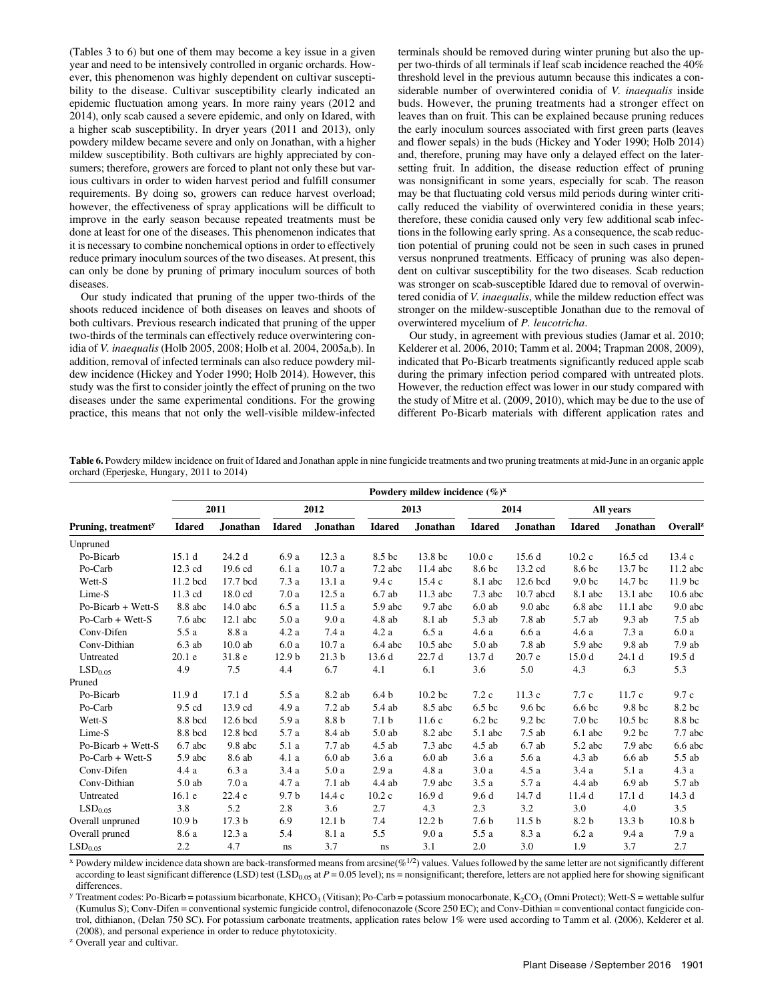(Tables 3 to 6) but one of them may become a key issue in a given year and need to be intensively controlled in organic orchards. However, this phenomenon was highly dependent on cultivar susceptibility to the disease. Cultivar susceptibility clearly indicated an epidemic fluctuation among years. In more rainy years (2012 and 2014), only scab caused a severe epidemic, and only on Idared, with a higher scab susceptibility. In dryer years (2011 and 2013), only powdery mildew became severe and only on Jonathan, with a higher mildew susceptibility. Both cultivars are highly appreciated by consumers; therefore, growers are forced to plant not only these but various cultivars in order to widen harvest period and fulfill consumer requirements. By doing so, growers can reduce harvest overload; however, the effectiveness of spray applications will be difficult to improve in the early season because repeated treatments must be done at least for one of the diseases. This phenomenon indicates that it is necessary to combine nonchemical options in order to effectively reduce primary inoculum sources of the two diseases. At present, this can only be done by pruning of primary inoculum sources of both diseases.

Our study indicated that pruning of the upper two-thirds of the shoots reduced incidence of both diseases on leaves and shoots of both cultivars. Previous research indicated that pruning of the upper two-thirds of the terminals can effectively reduce overwintering conidia of V. inaequalis (Holb 2005, 2008; Holb et al. 2004, 2005a,b). In addition, removal of infected terminals can also reduce powdery mildew incidence (Hickey and Yoder 1990; Holb 2014). However, this study was the first to consider jointly the effect of pruning on the two diseases under the same experimental conditions. For the growing practice, this means that not only the well-visible mildew-infected terminals should be removed during winter pruning but also the upper two-thirds of all terminals if leaf scab incidence reached the 40% threshold level in the previous autumn because this indicates a considerable number of overwintered conidia of V. inaequalis inside buds. However, the pruning treatments had a stronger effect on leaves than on fruit. This can be explained because pruning reduces the early inoculum sources associated with first green parts (leaves and flower sepals) in the buds (Hickey and Yoder 1990; Holb 2014) and, therefore, pruning may have only a delayed effect on the latersetting fruit. In addition, the disease reduction effect of pruning was nonsignificant in some years, especially for scab. The reason may be that fluctuating cold versus mild periods during winter critically reduced the viability of overwintered conidia in these years; therefore, these conidia caused only very few additional scab infections in the following early spring. As a consequence, the scab reduction potential of pruning could not be seen in such cases in pruned versus nonpruned treatments. Efficacy of pruning was also dependent on cultivar susceptibility for the two diseases. Scab reduction was stronger on scab-susceptible Idared due to removal of overwintered conidia of V. inaequalis, while the mildew reduction effect was stronger on the mildew-susceptible Jonathan due to the removal of overwintered mycelium of P. leucotricha.

Our study, in agreement with previous studies (Jamar et al. 2010; Kelderer et al. 2006, 2010; Tamm et al. 2004; Trapman 2008, 2009), indicated that Po-Bicarb treatments significantly reduced apple scab during the primary infection period compared with untreated plots. However, the reduction effect was lower in our study compared with the study of Mitre et al. (2009, 2010), which may be due to the use of different Po-Bicarb materials with different application rates and

Table 6. Powdery mildew incidence on fruit of Idared and Jonathan apple in nine fungicide treatments and two pruning treatments at mid-June in an organic apple orchard (Eperjeske, Hungary, 2011 to 2014)

|                      | Powdery mildew incidence $(\%)^{x}$ |                   |                  |                   |                  |                    |                   |                    |                   |                    |                   |
|----------------------|-------------------------------------|-------------------|------------------|-------------------|------------------|--------------------|-------------------|--------------------|-------------------|--------------------|-------------------|
|                      |                                     | 2011              |                  | 2012              |                  | 2013               |                   | 2014               |                   | All years          |                   |
| Pruning, treatmenty  | <b>Idared</b>                       | Jonathan          | <b>Idared</b>    | Jonathan          | <b>Idared</b>    | Jonathan           | <b>Idared</b>     | Jonathan           | <b>Idared</b>     | Jonathan           | Overallz          |
| Unpruned             |                                     |                   |                  |                   |                  |                    |                   |                    |                   |                    |                   |
| Po-Bicarb            | 15.1 <sub>d</sub>                   | 24.2 d            | 6.9a             | 12.3 a            | 8.5 bc           | 13.8 bc            | 10.0c             | 15.6d              | 10.2c             | 16.5 cd            | 13.4c             |
| Po-Carb              | $12.3 \text{ cd}$                   | 19.6 cd           | 6.1a             | 10.7a             | $7.2$ abc        | 11.4 abc           | 8.6 bc            | 13.2 cd            | 8.6 bc            | 13.7 <sub>bc</sub> | 11.2 abc          |
| Wett-S               | 11.2 bcd                            | 17.7 bcd          | 7.3a             | 13.1a             | 9.4c             | 15.4c              | 8.1 abc           | 12.6 bcd           | 9.0 <sub>bc</sub> | 14.7 bc            | 11.9 bc           |
| Lime-S               | 11.3 cd                             | $18.0 \text{ cd}$ | 7.0a             | 12.5a             | $6.7$ ab         | $11.3$ abc         | $7.3$ abc         | $10.7$ abcd        | 8.1 abc           | $13.1$ abc         | $10.6$ abc        |
| $Po-Bicarb + Wett-S$ | 8.8 abc                             | $14.0$ abc        | 6.5a             | 11.5a             | 5.9 abc          | $9.7$ abc          | $6.0$ ab          | $9.0$ abc          | $6.8$ abc         | $11.1$ abc         | $9.0$ abc         |
| $Po-Carb + Wett-S$   | $7.6$ abc                           | $12.1$ abc        | 5.0a             | 9.0 a             | 4.8 ab           | 8.1 ab             | 5.3 ab            | 7.8 ab             | 5.7 ab            | 9.3 ab             | $7.5$ ab          |
| Conv-Difen           | 5.5 a                               | 8.8 a             | 4.2a             | 7.4 a             | 4.2 a            | 6.5a               | 4.6a              | 6.6a               | 4.6a              | 7.3a               | 6.0a              |
| Conv-Dithian         | $6.3$ ab                            | 10.0ab            | 6.0a             | 10.7a             | 6.4 abc          | $10.5$ abc         | $5.0$ ab          | 7.8 ab             | 5.9 abc           | 9.8 ab             | 7.9 ab            |
| Untreated            | 20.1 e                              | 31.8 e            | 12.9 b           | 21.3 <sub>b</sub> | 13.6 d           | 22.7d              | 13.7 d            | 20.7 e             | 15.0 <sub>d</sub> | 24.1 d             | 19.5d             |
| LSD <sub>0.05</sub>  | 4.9                                 | 7.5               | 4.4              | 6.7               | 4.1              | 6.1                | 3.6               | 5.0                | 4.3               | 6.3                | 5.3               |
| Pruned               |                                     |                   |                  |                   |                  |                    |                   |                    |                   |                    |                   |
| Po-Bicarb            | 11.9d                               | 17.1 <sub>d</sub> | 5.5 a            | 8.2 ab            | 6.4 <sub>b</sub> | 10.2 <sub>bc</sub> | 7.2c              | 11.3c              | 7.7c              | 11.7c              | 9.7c              |
| Po-Carb              | 9.5 cd                              | 13.9 cd           | 4.9 a            | 7.2ab             | 5.4 ab           | $8.5$ abc          | 6.5 <sub>bc</sub> | 9.6 <sub>b</sub> c | 6.6 <sub>b</sub>  | 9.8 <sub>bc</sub>  | 8.2 bc            |
| Wett-S               | 8.8 bcd                             | 12.6 bcd          | 5.9 a            | 8.8 b             | 7.1 <sub>b</sub> | 11.6c              | 6.2 <sub>bc</sub> | 9.2 bc             | 7.0 <sub>bc</sub> | 10.5 <sub>bc</sub> | 8.8 bc            |
| Lime-S               | 8.8 bcd                             | $12.8$ bcd        | 5.7 a            | 8.4 ab            | $5.0$ ab         | $8.2$ abc          | $5.1$ abc         | 7.5 ab             | $6.1$ abc         | 9.2 bc             | $7.7$ abc         |
| $Po-Bicarb + Wett-S$ | $6.7$ abc                           | $9.8$ abc         | 5.1 a            | 7.7 ab            | 4.5 ab           | 7.3 abc            | 4.5 ab            | 6.7 ab             | 5.2 abc           | 7.9 abc            | $6.6$ abc         |
| $Po-Carb + Wett-S$   | 5.9 abc                             | 8.6 ab            | 4.1 a            | $6.0$ ab          | 3.6a             | $6.0$ ab           | 3.6a              | 5.6 a              | $4.3$ ab          | 6.6ab              | 5.5 ab            |
| Conv-Difen           | 4.4 a                               | 6.3 a             | 3.4a             | 5.0a              | 2.9a             | 4.8 a              | 3.0a              | 4.5 a              | 3.4a              | 5.1 a              | 4.3a              |
| Conv-Dithian         | $5.0$ ab                            | 7.0a              | 4.7 a            | 7.1ab             | $4.4$ ab         | $7.9$ abc          | 3.5a              | 5.7 a              | 4.4ab             | $6.9$ ab           | 5.7 ab            |
| Untreated            | 16.1 e                              | 22.4e             | 9.7 <sub>b</sub> | 14.4 c            | 10.2c            | 16.9d              | 9.6d              | 14.7 d             | 11.4 d            | 17.1 <sub>d</sub>  | 14.3 d            |
| LSD <sub>0.05</sub>  | 3.8                                 | 5.2               | 2.8              | 3.6               | 2.7              | 4.3                | 2.3               | 3.2                | 3.0               | 4.0                | 3.5               |
| Overall unpruned     | 10.9 <sub>b</sub>                   | 17.3 <sub>b</sub> | 6.9              | 12.1 <sub>b</sub> | 7.4              | 12.2 <sub>b</sub>  | 7.6 <sub>b</sub>  | 11.5 <sub>b</sub>  | 8.2 b             | 13.3 <sub>b</sub>  | 10.8 <sub>b</sub> |
| Overall pruned       | 8.6 a                               | 12.3a             | 5.4              | 8.1 a             | 5.5              | 9.0a               | 5.5 a             | 8.3 a              | 6.2 a             | 9.4a               | 7.9 a             |
| LSD <sub>0.05</sub>  | 2.2                                 | 4.7               | ns               | 3.7               | ns               | 3.1                | 2.0               | 3.0                | 1.9               | 3.7                | 2.7               |

<sup>x</sup> Powdery mildew incidence data shown are back-transformed means from arcsine(%1/2) values. Values followed by the same letter are not significantly different according to least significant difference (LSD) test (LSD<sub>0.05</sub> at  $P = 0.05$  level); ns = nonsignificant; therefore, letters are not applied here for showing significant differences.

y Treatment codes: Po-Bicarb = potassium bicarbonate, KHCO<sub>3</sub> (Vitisan); Po-Carb = potassium monocarbonate, K<sub>2</sub>CO<sub>3</sub> (Omni Protect); Wett-S = wettable sulfur (Kumulus S); Conv-Difen = conventional systemic fungicide control, difenoconazole (Score 250 EC); and Conv-Dithian = conventional contact fungicide control, dithianon, (Delan 750 SC). For potassium carbonate treatments, application rates below 1% were used according to Tamm et al. (2006), Kelderer et al. (2008), and personal experience in order to reduce phytotoxicity.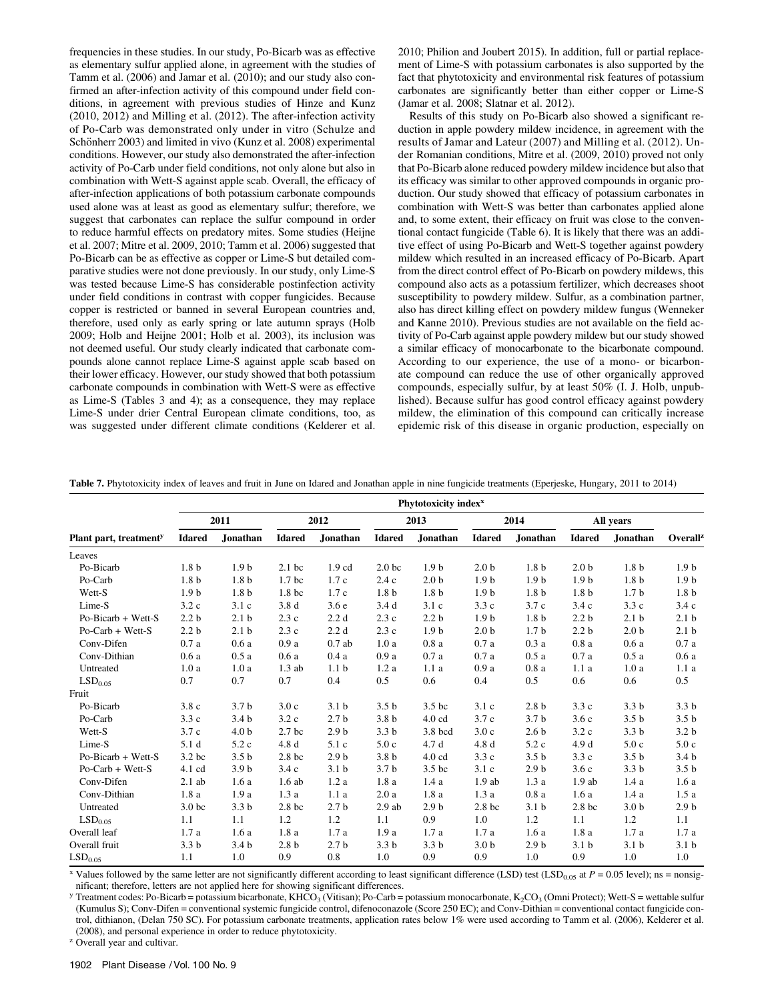frequencies in these studies. In our study, Po-Bicarb was as effective as elementary sulfur applied alone, in agreement with the studies of Tamm et al. (2006) and Jamar et al. (2010); and our study also confirmed an after-infection activity of this compound under field conditions, in agreement with previous studies of Hinze and Kunz (2010, 2012) and Milling et al. (2012). The after-infection activity of Po-Carb was demonstrated only under in vitro (Schulze and Schönherr 2003) and limited in vivo (Kunz et al. 2008) experimental conditions. However, our study also demonstrated the after-infection activity of Po-Carb under field conditions, not only alone but also in combination with Wett-S against apple scab. Overall, the efficacy of after-infection applications of both potassium carbonate compounds used alone was at least as good as elementary sulfur; therefore, we suggest that carbonates can replace the sulfur compound in order to reduce harmful effects on predatory mites. Some studies (Heijne et al. 2007; Mitre et al. 2009, 2010; Tamm et al. 2006) suggested that Po-Bicarb can be as effective as copper or Lime-S but detailed comparative studies were not done previously. In our study, only Lime-S was tested because Lime-S has considerable postinfection activity under field conditions in contrast with copper fungicides. Because copper is restricted or banned in several European countries and, therefore, used only as early spring or late autumn sprays (Holb 2009; Holb and Heijne 2001; Holb et al. 2003), its inclusion was not deemed useful. Our study clearly indicated that carbonate compounds alone cannot replace Lime-S against apple scab based on their lower efficacy. However, our study showed that both potassium carbonate compounds in combination with Wett-S were as effective as Lime-S (Tables 3 and 4); as a consequence, they may replace Lime-S under drier Central European climate conditions, too, as was suggested under different climate conditions (Kelderer et al.

2010; Philion and Joubert 2015). In addition, full or partial replacement of Lime-S with potassium carbonates is also supported by the fact that phytotoxicity and environmental risk features of potassium carbonates are significantly better than either copper or Lime-S (Jamar et al. 2008; Slatnar et al. 2012).

Results of this study on Po-Bicarb also showed a significant reduction in apple powdery mildew incidence, in agreement with the results of Jamar and Lateur (2007) and Milling et al. (2012). Under Romanian conditions, Mitre et al. (2009, 2010) proved not only that Po-Bicarb alone reduced powdery mildew incidence but also that its efficacy was similar to other approved compounds in organic production. Our study showed that efficacy of potassium carbonates in combination with Wett-S was better than carbonates applied alone and, to some extent, their efficacy on fruit was close to the conventional contact fungicide (Table 6). It is likely that there was an additive effect of using Po-Bicarb and Wett-S together against powdery mildew which resulted in an increased efficacy of Po-Bicarb. Apart from the direct control effect of Po-Bicarb on powdery mildews, this compound also acts as a potassium fertilizer, which decreases shoot susceptibility to powdery mildew. Sulfur, as a combination partner, also has direct killing effect on powdery mildew fungus (Wenneker and Kanne 2010). Previous studies are not available on the field activity of Po-Carb against apple powdery mildew but our study showed a similar efficacy of monocarbonate to the bicarbonate compound. According to our experience, the use of a mono- or bicarbonate compound can reduce the use of other organically approved compounds, especially sulfur, by at least 50% (I. J. Holb, unpublished). Because sulfur has good control efficacy against powdery mildew, the elimination of this compound can critically increase epidemic risk of this disease in organic production, especially on

| Table 7. Phytotoxicity index of leaves and fruit in June on Idared and Jonathan apple in nine fungicide treatments (Eperjeske, Hungary, 2011 to 2014) |  |  |  |  |
|-------------------------------------------------------------------------------------------------------------------------------------------------------|--|--|--|--|
|-------------------------------------------------------------------------------------------------------------------------------------------------------|--|--|--|--|

|                        | Phytotoxicity index <sup>x</sup> |                  |                   |                  |                   |                  |                   |                  |                   |                  |                  |
|------------------------|----------------------------------|------------------|-------------------|------------------|-------------------|------------------|-------------------|------------------|-------------------|------------------|------------------|
|                        |                                  | 2011             |                   | 2012             |                   | 2013             |                   | 2014             |                   | All years        | Overallz         |
| Plant part, treatmenty | <b>Idared</b>                    | Jonathan         | <b>Idared</b>     | Jonathan         | <b>Idared</b>     | Jonathan         | <b>Idared</b>     | Jonathan         | <b>Idared</b>     | Jonathan         |                  |
| Leaves                 |                                  |                  |                   |                  |                   |                  |                   |                  |                   |                  |                  |
| Po-Bicarb              | 1.8 <sub>b</sub>                 | 1.9 <sub>b</sub> | 2.1 <sub>bc</sub> | $1.9 \text{ cd}$ | 2.0 <sub>bc</sub> | 1.9 <sub>b</sub> | 2.0 <sub>b</sub>  | 1.8 <sub>b</sub> | 2.0 <sub>b</sub>  | 1.8 <sub>b</sub> | 1.9 <sub>b</sub> |
| Po-Carb                | 1.8 <sub>b</sub>                 | 1.8 <sub>b</sub> | 1.7 <sub>bc</sub> | 1.7c             | 2.4c              | 2.0 <sub>b</sub> | 1.9 <sub>b</sub>  | 1.9 <sub>b</sub> | 1.9 <sub>b</sub>  | 1.8 <sub>b</sub> | 1.9 <sub>b</sub> |
| Wett-S                 | 1.9 <sub>b</sub>                 | 1.8 <sub>b</sub> | 1.8 <sub>bc</sub> | 1.7c             | 1.8 <sub>b</sub>  | 1.8 <sub>b</sub> | 1.9 <sub>b</sub>  | 1.8 <sub>b</sub> | 1.8 <sub>b</sub>  | 1.7 <sub>b</sub> | 1.8 <sub>b</sub> |
| Lime-S                 | 3.2c                             | 3.1c             | 3.8d              | 3.6e             | 3.4d              | 3.1c             | 3.3c              | 3.7c             | 3.4c              | 3.3c             | 3.4c             |
| $Po-Bicarb + Wett-S$   | 2.2 <sub>b</sub>                 | 2.1 <sub>b</sub> | 2.3c              | 2.2d             | 2.3c              | 2.2 <sub>b</sub> | 1.9 <sub>b</sub>  | 1.8 <sub>b</sub> | 2.2 <sub>b</sub>  | 2.1 <sub>b</sub> | 2.1 <sub>b</sub> |
| $Po-Carb + Wett-S$     | 2.2 <sub>b</sub>                 | 2.1 <sub>b</sub> | 2.3c              | 2.2d             | 2.3c              | 1.9 <sub>b</sub> | 2.0 <sub>b</sub>  | 1.7 <sub>b</sub> | 2.2 <sub>b</sub>  | 2.0 <sub>b</sub> | 2.1 <sub>b</sub> |
| Conv-Difen             | 0.7a                             | 0.6a             | 0.9a              | $0.7$ ab         | 1.0a              | 0.8a             | 0.7a              | 0.3a             | 0.8a              | 0.6a             | 0.7a             |
| Conv-Dithian           | 0.6a                             | 0.5a             | 0.6a              | 0.4a             | 0.9a              | 0.7a             | 0.7a              | 0.5a             | 0.7a              | 0.5a             | 0.6a             |
| Untreated              | 1.0a                             | 1.0a             | $1.3$ ab          | 1.1 <sub>b</sub> | 1.2a              | 1.1a             | 0.9a              | 0.8a             | 1.1a              | 1.0a             | 1.1a             |
| LSD <sub>0.05</sub>    | 0.7                              | 0.7              | 0.7               | 0.4              | 0.5               | 0.6              | 0.4               | 0.5              | 0.6               | 0.6              | 0.5              |
| Fruit                  |                                  |                  |                   |                  |                   |                  |                   |                  |                   |                  |                  |
| Po-Bicarb              | 3.8c                             | 3.7 <sub>b</sub> | 3.0c              | 3.1 <sub>b</sub> | 3.5 <sub>b</sub>  | 3.5 bc           | 3.1c              | 2.8 <sub>b</sub> | 3.3c              | 3.3 <sub>b</sub> | 3.3 <sub>b</sub> |
| Po-Carb                | 3.3c                             | 3.4 <sub>b</sub> | 3.2c              | 2.7 <sub>b</sub> | 3.8 <sub>b</sub>  | 4.0 cd           | 3.7c              | 3.7 <sub>b</sub> | 3.6c              | 3.5 <sub>b</sub> | 3.5 <sub>b</sub> |
| Wett-S                 | 3.7c                             | 4.0 <sub>b</sub> | 2.7 bc            | 2.9 <sub>b</sub> | 3.3 <sub>b</sub>  | 3.8 bcd          | 3.0c              | 2.6 <sub>b</sub> | 3.2c              | 3.3 <sub>b</sub> | 3.2 <sub>b</sub> |
| Lime-S                 | 5.1 <sub>d</sub>                 | 5.2 c            | 4.8 d             | 5.1c             | 5.0c              | 4.7 d            | 4.8d              | 5.2c             | 4.9 d             | 5.0c             | 5.0c             |
| $Po-Bicarb + Wett-S$   | 3.2 bc                           | 3.5 <sub>b</sub> | 2.8 <sub>bc</sub> | 2.9 <sub>b</sub> | 3.8 <sub>b</sub>  | $4.0 \text{ cd}$ | 3.3c              | 3.5 <sub>b</sub> | 3.3c              | 3.5 <sub>b</sub> | 3.4 <sub>b</sub> |
| $Po-Carb + Wett-S$     | $4.1 \text{ cd}$                 | 3.9 <sub>b</sub> | 3.4c              | 3.1 <sub>b</sub> | 3.7 <sub>b</sub>  | 3.5 bc           | 3.1c              | 2.9 <sub>b</sub> | 3.6c              | 3.3 <sub>b</sub> | 3.5 <sub>b</sub> |
| Conv-Difen             | $2.1$ ab                         | 1.6a             | 1.6ab             | 1.2a             | 1.8a              | 1.4a             | 1.9ab             | 1.3a             | 1.9ab             | 1.4a             | 1.6a             |
| Conv-Dithian           | 1.8a                             | 1.9a             | 1.3a              | 1.1a             | 2.0a              | 1.8a             | 1.3a              | 0.8a             | 1.6a              | 1.4a             | 1.5a             |
| Untreated              | 3.0 <sub>bc</sub>                | 3.3 <sub>b</sub> | 2.8 <sub>bc</sub> | 2.7 <sub>b</sub> | $2.9$ ab          | 2.9 <sub>b</sub> | 2.8 <sub>bc</sub> | 3.1 <sub>b</sub> | 2.8 <sub>bc</sub> | 3.0 <sub>b</sub> | 2.9 <sub>b</sub> |
| LSD <sub>0.05</sub>    | 1.1                              | 1.1              | 1.2               | 1.2              | 1.1               | 0.9              | 1.0               | 1.2              | 1.1               | 1.2              | 1.1              |
| Overall leaf           | 1.7a                             | 1.6a             | 1.8a              | 1.7a             | 1.9a              | 1.7a             | 1.7a              | 1.6a             | 1.8a              | 1.7a             | 1.7a             |
| Overall fruit          | 3.3 <sub>b</sub>                 | 3.4 <sub>b</sub> | 2.8 <sub>b</sub>  | 2.7 <sub>b</sub> | 3.3 <sub>b</sub>  | 3.3 <sub>b</sub> | 3.0 <sub>b</sub>  | 2.9 <sub>b</sub> | 3.1 <sub>b</sub>  | 3.1 <sub>b</sub> | 3.1 <sub>b</sub> |
| LSD <sub>0.05</sub>    | 1.1                              | 1.0              | 0.9               | 0.8              | 1.0               | 0.9              | 0.9               | 1.0              | 0.9               | 1.0              | 1.0              |

x Values followed by the same letter are not significantly different according to least significant difference (LSD) test (LSD<sub>0.05</sub> at  $P = 0.05$  level); ns = nonsignificant; therefore, letters are not applied here for showing significant differences.

y Treatment codes: Po-Bicarb = potassium bicarbonate, KHCO<sub>3</sub> (Vitisan); Po-Carb = potassium monocarbonate, K<sub>2</sub>CO<sub>3</sub> (Omni Protect); Wett-S = wettable sulfur (Kumulus S); Conv-Difen = conventional systemic fungicide control, difenoconazole (Score 250 EC); and Conv-Dithian = conventional contact fungicide control, dithianon, (Delan 750 SC). For potassium carbonate treatments, application rates below 1% were used according to Tamm et al. (2006), Kelderer et al. (2008), and personal experience in order to reduce phytotoxicity.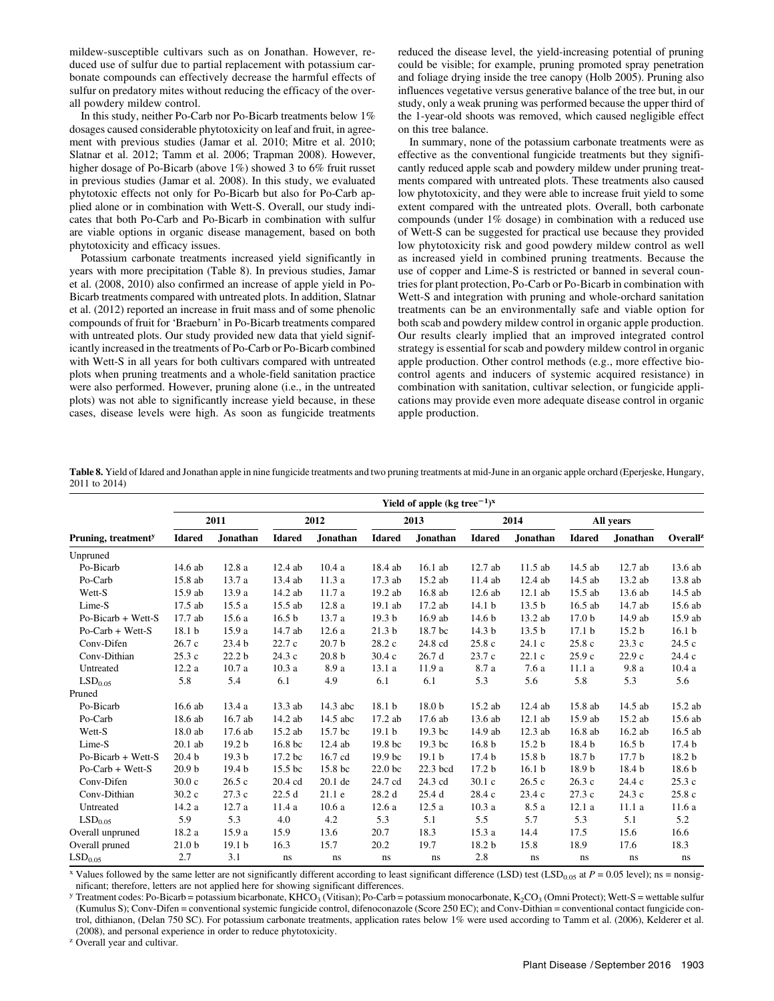mildew-susceptible cultivars such as on Jonathan. However, reduced use of sulfur due to partial replacement with potassium carbonate compounds can effectively decrease the harmful effects of sulfur on predatory mites without reducing the efficacy of the overall powdery mildew control.

In this study, neither Po-Carb nor Po-Bicarb treatments below 1% dosages caused considerable phytotoxicity on leaf and fruit, in agreement with previous studies (Jamar et al. 2010; Mitre et al. 2010; Slatnar et al. 2012; Tamm et al. 2006; Trapman 2008). However, higher dosage of Po-Bicarb (above 1%) showed 3 to 6% fruit russet in previous studies (Jamar et al. 2008). In this study, we evaluated phytotoxic effects not only for Po-Bicarb but also for Po-Carb applied alone or in combination with Wett-S. Overall, our study indicates that both Po-Carb and Po-Bicarb in combination with sulfur are viable options in organic disease management, based on both phytotoxicity and efficacy issues.

Potassium carbonate treatments increased yield significantly in years with more precipitation (Table 8). In previous studies, Jamar et al. (2008, 2010) also confirmed an increase of apple yield in Po-Bicarb treatments compared with untreated plots. In addition, Slatnar et al. (2012) reported an increase in fruit mass and of some phenolic compounds of fruit for 'Braeburn' in Po-Bicarb treatments compared with untreated plots. Our study provided new data that yield significantly increased in the treatments of Po-Carb or Po-Bicarb combined with Wett-S in all years for both cultivars compared with untreated plots when pruning treatments and a whole-field sanitation practice were also performed. However, pruning alone (i.e., in the untreated plots) was not able to significantly increase yield because, in these cases, disease levels were high. As soon as fungicide treatments reduced the disease level, the yield-increasing potential of pruning could be visible; for example, pruning promoted spray penetration and foliage drying inside the tree canopy (Holb 2005). Pruning also influences vegetative versus generative balance of the tree but, in our study, only a weak pruning was performed because the upper third of the 1-year-old shoots was removed, which caused negligible effect on this tree balance.

In summary, none of the potassium carbonate treatments were as effective as the conventional fungicide treatments but they significantly reduced apple scab and powdery mildew under pruning treatments compared with untreated plots. These treatments also caused low phytotoxicity, and they were able to increase fruit yield to some extent compared with the untreated plots. Overall, both carbonate compounds (under 1% dosage) in combination with a reduced use of Wett-S can be suggested for practical use because they provided low phytotoxicity risk and good powdery mildew control as well as increased yield in combined pruning treatments. Because the use of copper and Lime-S is restricted or banned in several countries for plant protection, Po-Carb or Po-Bicarb in combination with Wett-S and integration with pruning and whole-orchard sanitation treatments can be an environmentally safe and viable option for both scab and powdery mildew control in organic apple production. Our results clearly implied that an improved integrated control strategy is essential for scab and powdery mildew control in organic apple production. Other control methods (e.g., more effective biocontrol agents and inducers of systemic acquired resistance) in combination with sanitation, cultivar selection, or fungicide applications may provide even more adequate disease control in organic apple production.

Table 8. Yield of Idared and Jonathan apple in nine fungicide treatments and two pruning treatments at mid-June in an organic apple orchard (Eperjeske, Hungary, 2011 to 2014)

|                      | Yield of apple (kg tree <sup><math>-1</math></sup> ) <sup>x</sup> |                   |                   |                   |                    |                   |                   |                   |                   |                   |                   |
|----------------------|-------------------------------------------------------------------|-------------------|-------------------|-------------------|--------------------|-------------------|-------------------|-------------------|-------------------|-------------------|-------------------|
|                      | 2011                                                              |                   |                   | 2012              |                    | 2013              |                   | 2014              |                   | All years         |                   |
| Pruning, treatmenty  | <b>Idared</b>                                                     | Jonathan          | <b>Idared</b>     | Jonathan          | <b>Idared</b>      | Jonathan          | <b>Idared</b>     | Jonathan          | <b>Idared</b>     | Jonathan          | Overallz          |
| Unpruned             |                                                                   |                   |                   |                   |                    |                   |                   |                   |                   |                   |                   |
| Po-Bicarb            | 14.6 ab                                                           | 12.8 a            | 12.4 ab           | 10.4a             | 18.4 ab            | 16.1 ab           | 12.7 ab           | 11.5 ab           | 14.5 ab           | 12.7 ab           | 13.6 ab           |
| Po-Carb              | 15.8 ab                                                           | 13.7a             | 13.4 ab           | 11.3a             | 17.3 ab            | 15.2 ab           | 11.4 ab           | 12.4 ab           | 14.5 ab           | $13.2$ ab         | 13.8 ab           |
| Wett-S               | 15.9 ab                                                           | 13.9a             | 14.2 ab           | 11.7 a            | 19.2 ab            | 16.8 ab           | 12.6 ab           | 12.1 ab           | 15.5 ab           | 13.6 ab           | 14.5 ab           |
| Lime-S               | 17.5 ab                                                           | 15.5a             | 15.5 ab           | 12.8 a            | 19.1 ab            | 17.2 ab           | 14.1 b            | 13.5 <sub>b</sub> | $16.5$ ab         | 14.7 ab           | 15.6 ab           |
| $Po-Bicarb + Wett-S$ | 17.7 ab                                                           | 15.6a             | 16.5 <sub>b</sub> | 13.7 a            | 19.3 <sub>b</sub>  | 16.9 ab           | 14.6 <sub>b</sub> | 13.2 ab           | 17.0 <sub>b</sub> | 14.9 ab           | 15.9 ab           |
| $Po-Carb + Wett-S$   | 18.1 b                                                            | 15.9 a            | 14.7 ab           | 12.6a             | 21.3 <sub>b</sub>  | 18.7 bc           | 14.3 b            | 13.5 <sub>b</sub> | 17.1 <sub>b</sub> | 15.2 <sub>b</sub> | 16.1 <sub>b</sub> |
| Conv-Difen           | 26.7c                                                             | 23.4 <sub>b</sub> | 22.7c             | 20.7 <sub>b</sub> | 28.2 c             | 24.8 cd           | 25.8 c            | 24.1 c            | 25.8 c            | 23.3c             | 24.5 c            |
| Conv-Dithian         | 25.3 c                                                            | 22.2 <sub>b</sub> | 24.3 c            | 20.8 <sub>b</sub> | 30.4 c             | 26.7d             | 23.7 c            | 22.1c             | 25.9c             | 22.9c             | 24.4 c            |
| Untreated            | 12.2a                                                             | 10.7a             | 10.3a             | 8.9 a             | 13.1a              | 11.9 a            | 8.7 a             | 7.6 a             | 11.1 a            | 9.8 a             | 10.4a             |
| LSD <sub>0.05</sub>  | 5.8                                                               | 5.4               | 6.1               | 4.9               | 6.1                | 6.1               | 5.3               | 5.6               | 5.8               | 5.3               | 5.6               |
| Pruned               |                                                                   |                   |                   |                   |                    |                   |                   |                   |                   |                   |                   |
| Po-Bicarb            | $16.6$ ab                                                         | 13.4 a            | 13.3 ab           | 14.3 abc          | 18.1 b             | 18.0 <sub>b</sub> | 15.2 ab           | 12.4 ab           | 15.8 ab           | 14.5 ab           | 15.2 ab           |
| Po-Carb              | 18.6 ab                                                           | 16.7 ab           | 14.2 ab           | 14.5 abc          | 17.2 ab            | 17.6 ab           | 13.6 ab           | 12.1 ab           | 15.9 ab           | 15.2 ab           | 15.6 ab           |
| Wett-S               | 18.0 ab                                                           | $17.6$ ab         | 15.2 ab           | 15.7 bc           | 19.1 <sub>b</sub>  | 19.3 bc           | 14.9 ab           | 12.3 ab           | 16.8 ab           | $16.2$ ab         | 16.5 ab           |
| Lime-S               | $20.1$ ab                                                         | 19.2 <sub>b</sub> | 16.8 bc           | 12.4 ab           | 19.8 bc            | 19.3 bc           | 16.8 <sub>b</sub> | 15.2 <sub>b</sub> | 18.4 b            | 16.5 <sub>b</sub> | 17.4 <sub>b</sub> |
| $Po-Bicarb + Wett-S$ | 20.4 <sub>b</sub>                                                 | 19.3 <sub>b</sub> | 17.2 bc           | 16.7 cd           | 19.9 <sub>bc</sub> | 19.1 <sub>b</sub> | 17.4 <sub>b</sub> | 15.8 b            | 18.7 <sub>b</sub> | 17.7 <sub>b</sub> | 18.2 b            |
| $Po-Carb + Wett-S$   | 20.9 <sub>b</sub>                                                 | 19.4 <sub>b</sub> | 15.5 <sub>b</sub> | 15.8 bc           | 22.0 <sub>bc</sub> | 22.3 bcd          | 17.2 <sub>b</sub> | 16.1 <sub>b</sub> | 18.9 b            | 18.4 <sub>b</sub> | 18.6 b            |
| Conv-Difen           | 30.0c                                                             | 26.5c             | 20.4 cd           | 20.1 de           | 24.7 cd            | 24.3 cd           | 30.1c             | 26.5c             | 26.3c             | 24.4 c            | 25.3c             |
| Conv-Dithian         | 30.2c                                                             | 27.3c             | 22.5d             | 21.1 e            | 28.2 d             | 25.4 d            | 28.4 c            | 23.4 c            | 27.3 c            | 24.3 c            | 25.8 c            |
| Untreated            | 14.2 a                                                            | 12.7 a            | 11.4 a            | 10.6a             | 12.6a              | 12.5a             | 10.3a             | 8.5 a             | 12.1 a            | 11.1 a            | 11.6 a            |
| LSD <sub>0.05</sub>  | 5.9                                                               | 5.3               | 4.0               | 4.2               | 5.3                | 5.1               | 5.5               | 5.7               | 5.3               | 5.1               | 5.2               |
| Overall unpruned     | 18.2 a                                                            | 15.9a             | 15.9              | 13.6              | 20.7               | 18.3              | 15.3 a            | 14.4              | 17.5              | 15.6              | 16.6              |
| Overall pruned       | 21.0 <sub>b</sub>                                                 | 19.1 <sub>b</sub> | 16.3              | 15.7              | 20.2               | 19.7              | 18.2 b            | 15.8              | 18.9              | 17.6              | 18.3              |
| LSD <sub>0.05</sub>  | 2.7                                                               | 3.1               | ns                | ns                | ns                 | ns                | 2.8               | ns                | ns                | ns                | ns                |

x Values followed by the same letter are not significantly different according to least significant difference (LSD) test (LSD<sub>0.05</sub> at  $P = 0.05$  level); ns = nonsignificant; therefore, letters are not applied here for showing significant differences.

y Treatment codes: Po-Bicarb = potassium bicarbonate, KHCO<sub>3</sub> (Vitisan); Po-Carb = potassium monocarbonate, K<sub>2</sub>CO<sub>3</sub> (Omni Protect); Wett-S = wettable sulfur (Kumulus S); Conv-Difen = conventional systemic fungicide control, difenoconazole (Score 250 EC); and Conv-Dithian = conventional contact fungicide control, dithianon, (Delan 750 SC). For potassium carbonate treatments, application rates below 1% were used according to Tamm et al. (2006), Kelderer et al. (2008), and personal experience in order to reduce phytotoxicity.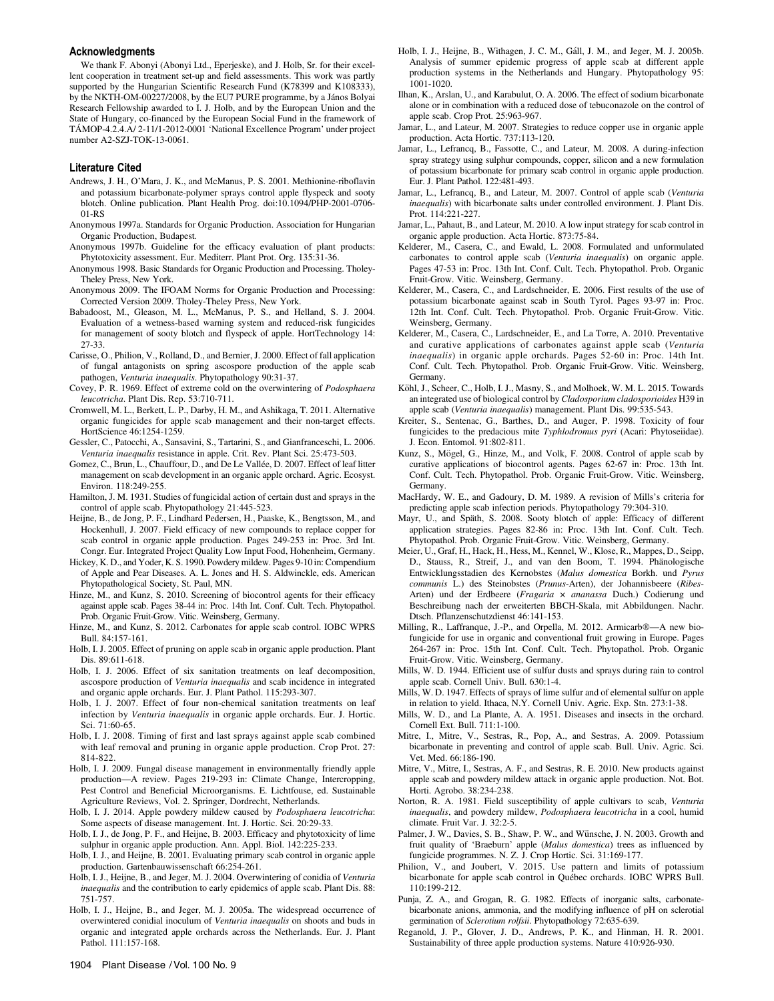#### Acknowledgments

We thank F. Abonyi (Abonyi Ltd., Eperjeske), and J. Holb, Sr. for their excellent cooperation in treatment set-up and field assessments. This work was partly supported by the Hungarian Scientific Research Fund (K78399 and K108333), by the NKTH-OM-00227/2008, by the EU7 PURE programme, by a János Bolyai Research Fellowship awarded to I. J. Holb, and by the European Union and the State of Hungary, co-financed by the European Social Fund in the framework of TÁMOP-4.2.4.A/ 2-11/1-2012-0001 'National Excellence Program' under project number A2-SZJ-TOK-13-0061.

#### Literature Cited

- Andrews, J. H., O'Mara, J. K., and McManus, P. S. 2001. Methionine-riboflavin and potassium bicarbonate-polymer sprays control apple flyspeck and sooty blotch. Online publication. Plant Health Prog. doi:10.1094/PHP-2001-0706- 01-RS
- Anonymous 1997a. Standards for Organic Production. Association for Hungarian Organic Production, Budapest.
- Anonymous 1997b. Guideline for the efficacy evaluation of plant products: Phytotoxicity assessment. Eur. Mediterr. Plant Prot. Org. 135:31-36.
- Anonymous 1998. Basic Standards for Organic Production and Processing. Tholey-Theley Press, New York.
- Anonymous 2009. The IFOAM Norms for Organic Production and Processing: Corrected Version 2009. Tholey-Theley Press, New York.
- Babadoost, M., Gleason, M. L., McManus, P. S., and Helland, S. J. 2004. Evaluation of a wetness-based warning system and reduced-risk fungicides for management of sooty blotch and flyspeck of apple. HortTechnology 14: 27-33.
- Carisse, O., Philion, V., Rolland, D., and Bernier, J. 2000. Effect of fall application of fungal antagonists on spring ascospore production of the apple scab pathogen, Venturia inaequalis. Phytopathology 90:31-37.
- Covey, P. R. 1969. Effect of extreme cold on the overwintering of Podosphaera leucotricha. Plant Dis. Rep. 53:710-711.
- Cromwell, M. L., Berkett, L. P., Darby, H. M., and Ashikaga, T. 2011. Alternative organic fungicides for apple scab management and their non-target effects. HortScience 46:1254-1259.
- Gessler, C., Patocchi, A., Sansavini, S., Tartarini, S., and Gianfranceschi, L. 2006. Venturia inaequalis resistance in apple. Crit. Rev. Plant Sci. 25:473-503.
- Gomez, C., Brun, L., Chauffour, D., and De Le Vallée, D. 2007. Effect of leaf litter management on scab development in an organic apple orchard. Agric. Ecosyst. Environ. 118:249-255.
- Hamilton, J. M. 1931. Studies of fungicidal action of certain dust and sprays in the control of apple scab. Phytopathology 21:445-523.
- Heijne, B., de Jong, P. F., Lindhard Pedersen, H., Paaske, K., Bengtsson, M., and Hockenhull, J. 2007. Field efficacy of new compounds to replace copper for scab control in organic apple production. Pages 249-253 in: Proc. 3rd Int. Congr. Eur. Integrated Project Quality Low Input Food, Hohenheim, Germany.
- Hickey, K. D., and Yoder, K. S. 1990. Powdery mildew. Pages 9-10 in: Compendium of Apple and Pear Diseases. A. L. Jones and H. S. Aldwinckle, eds. American Phytopathological Society, St. Paul, MN.
- Hinze, M., and Kunz, S. 2010. Screening of biocontrol agents for their efficacy against apple scab. Pages 38-44 in: Proc. 14th Int. Conf. Cult. Tech. Phytopathol. Prob. Organic Fruit-Grow. Vitic. Weinsberg, Germany.
- Hinze, M., and Kunz, S. 2012. Carbonates for apple scab control. IOBC WPRS Bull. 84:157-161.
- Holb, I. J. 2005. Effect of pruning on apple scab in organic apple production. Plant Dis. 89:611-618.
- Holb, I. J. 2006. Effect of six sanitation treatments on leaf decomposition, ascospore production of Venturia inaequalis and scab incidence in integrated and organic apple orchards. Eur. J. Plant Pathol. 115:293-307.
- Holb, I. J. 2007. Effect of four non-chemical sanitation treatments on leaf infection by Venturia inaequalis in organic apple orchards. Eur. J. Hortic. Sci. 71:60-65.
- Holb, I. J. 2008. Timing of first and last sprays against apple scab combined with leaf removal and pruning in organic apple production. Crop Prot. 27: 814-822.
- Holb, I. J. 2009. Fungal disease management in environmentally friendly apple production—A review. Pages 219-293 in: Climate Change, Intercropping, Pest Control and Beneficial Microorganisms. E. Lichtfouse, ed. Sustainable Agriculture Reviews, Vol. 2. Springer, Dordrecht, Netherlands.
- Holb, I. J. 2014. Apple powdery mildew caused by Podosphaera leucotricha: Some aspects of disease management. Int. J. Hortic. Sci. 20:29-33.
- Holb, I. J., de Jong, P. F., and Heijne, B. 2003. Efficacy and phytotoxicity of lime sulphur in organic apple production. Ann. Appl. Biol. 142:225-233.
- Holb, I. J., and Heijne, B. 2001. Evaluating primary scab control in organic apple production. Gartenbauwissenschaft 66:254-261.
- Holb, I. J., Heijne, B., and Jeger, M. J. 2004. Overwintering of conidia of Venturia inaequalis and the contribution to early epidemics of apple scab. Plant Dis. 88: 751-757.
- Holb, I. J., Heijne, B., and Jeger, M. J. 2005a. The widespread occurrence of overwintered conidial inoculum of Venturia inaequalis on shoots and buds in organic and integrated apple orchards across the Netherlands. Eur. J. Plant Pathol. 111:157-168.
- Holb, I. J., Heijne, B., Withagen, J. C. M., Gáll, J. M., and Jeger, M. J. 2005b. Analysis of summer epidemic progress of apple scab at different apple production systems in the Netherlands and Hungary. Phytopathology 95: 1001-1020.
- Ilhan, K., Arslan, U., and Karabulut, O. A. 2006. The effect of sodium bicarbonate alone or in combination with a reduced dose of tebuconazole on the control of apple scab. Crop Prot. 25:963-967.
- Jamar, L., and Lateur, M. 2007. Strategies to reduce copper use in organic apple production. Acta Hortic. 737:113-120.
- Jamar, L., Lefrancq, B., Fassotte, C., and Lateur, M. 2008. A during-infection spray strategy using sulphur compounds, copper, silicon and a new formulation of potassium bicarbonate for primary scab control in organic apple production. Eur. J. Plant Pathol. 122:481-493.
- Jamar, L., Lefrancq, B., and Lateur, M. 2007. Control of apple scab (Venturia inaequalis) with bicarbonate salts under controlled environment. J. Plant Dis. Prot. 114:221-227.
- Jamar, L., Pahaut, B., and Lateur, M. 2010. A low input strategy for scab control in organic apple production. Acta Hortic. 873:75-84.
- Kelderer, M., Casera, C., and Ewald, L. 2008. Formulated and unformulated carbonates to control apple scab (Venturia inaequalis) on organic apple. Pages 47-53 in: Proc. 13th Int. Conf. Cult. Tech. Phytopathol. Prob. Organic Fruit-Grow. Vitic. Weinsberg, Germany.
- Kelderer, M., Casera, C., and Lardschneider, E. 2006. First results of the use of potassium bicarbonate against scab in South Tyrol. Pages 93-97 in: Proc. 12th Int. Conf. Cult. Tech. Phytopathol. Prob. Organic Fruit-Grow. Vitic. Weinsberg, Germany.
- Kelderer, M., Casera, C., Lardschneider, E., and La Torre, A. 2010. Preventative and curative applications of carbonates against apple scab (Venturia inaequalis) in organic apple orchards. Pages 52-60 in: Proc. 14th Int. Conf. Cult. Tech. Phytopathol. Prob. Organic Fruit-Grow. Vitic. Weinsberg, Germany.
- Köhl, J., Scheer, C., Holb, I. J., Masny, S., and Molhoek, W. M. L. 2015. Towards an integrated use of biological control by Cladosporium cladosporioides H39 in apple scab (Venturia inaequalis) management. Plant Dis. 99:535-543.
- Kreiter, S., Sentenac, G., Barthes, D., and Auger, P. 1998. Toxicity of four fungicides to the predacious mite Typhlodromus pyri (Acari: Phytoseiidae). J. Econ. Entomol. 91:802-811.
- Kunz, S., Mögel, G., Hinze, M., and Volk, F. 2008. Control of apple scab by curative applications of biocontrol agents. Pages 62-67 in: Proc. 13th Int. Conf. Cult. Tech. Phytopathol. Prob. Organic Fruit-Grow. Vitic. Weinsberg, **Germany**
- MacHardy, W. E., and Gadoury, D. M. 1989. A revision of Mills's criteria for predicting apple scab infection periods. Phytopathology 79:304-310.
- Mayr, U., and Späth, S. 2008. Sooty blotch of apple: Efficacy of different application strategies. Pages 82-86 in: Proc. 13th Int. Conf. Cult. Tech. Phytopathol. Prob. Organic Fruit-Grow. Vitic. Weinsberg, Germany.
- Meier, U., Graf, H., Hack, H., Hess, M., Kennel, W., Klose, R., Mappes, D., Seipp, D., Stauss, R., Streif, J., and van den Boom, T. 1994. Phänologische Entwicklungsstadien des Kernobstes (Malus domestica Borkh. und Pyrus communis L.) des Steinobstes (Prunus-Arten), der Johannisbeere (Ribes-Arten) und der Erdbeere (Fragaria × ananassa Duch.) Codierung und Beschreibung nach der erweiterten BBCH-Skala, mit Abbildungen. Nachr. Dtsch. Pflanzenschutzdienst 46:141-153.
- Milling, R., Laffranque, J.-P., and Orpella, M. 2012. Armicarb®-A new biofungicide for use in organic and conventional fruit growing in Europe. Pages 264-267 in: Proc. 15th Int. Conf. Cult. Tech. Phytopathol. Prob. Organic Fruit-Grow. Vitic. Weinsberg, Germany.
- Mills, W. D. 1944. Efficient use of sulfur dusts and sprays during rain to control apple scab. Cornell Univ. Bull. 630:1-4.
- Mills, W. D. 1947. Effects of sprays of lime sulfur and of elemental sulfur on apple in relation to yield. Ithaca, N.Y. Cornell Univ. Agric. Exp. Stn. 273:1-38.
- Mills, W. D., and La Plante, A. A. 1951. Diseases and insects in the orchard. Cornell Ext. Bull. 711:1-100.
- Mitre, I., Mitre, V., Sestras, R., Pop, A., and Sestras, A. 2009. Potassium bicarbonate in preventing and control of apple scab. Bull. Univ. Agric. Sci. Vet. Med. 66:186-190.
- Mitre, V., Mitre, I., Sestras, A. F., and Sestras, R. E. 2010. New products against apple scab and powdery mildew attack in organic apple production. Not. Bot. Horti. Agrobo. 38:234-238.
- Norton, R. A. 1981. Field susceptibility of apple cultivars to scab, Venturia inaequalis, and powdery mildew, Podosphaera leucotricha in a cool, humid climate. Fruit Var. J. 32:2-5.
- Palmer, J. W., Davies, S. B., Shaw, P. W., and Wünsche, J. N. 2003. Growth and fruit quality of 'Braeburn' apple (Malus domestica) trees as influenced by fungicide programmes. N. Z. J. Crop Hortic. Sci. 31:169-177.
- Philion, V., and Joubert, V. 2015. Use pattern and limits of potassium bicarbonate for apple scab control in Québec orchards. IOBC WPRS Bull. 110:199-212.
- Punja, Z. A., and Grogan, R. G. 1982. Effects of inorganic salts, carbonatebicarbonate anions, ammonia, and the modifying influence of pH on sclerotial germination of Sclerotium rolfsii. Phytopathology 72:635-639.
- Reganold, J. P., Glover, J. D., Andrews, P. K., and Hinman, H. R. 2001. Sustainability of three apple production systems. Nature 410:926-930.